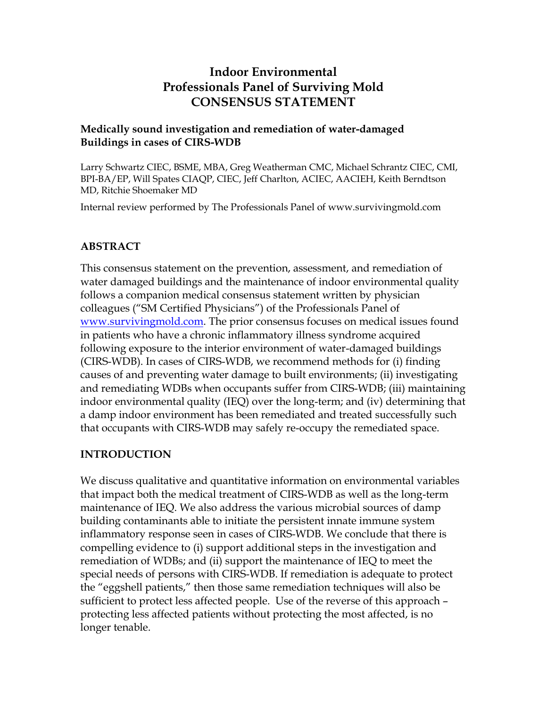# **Indoor Environmental Professionals Panel of Surviving Mold CONSENSUS STATEMENT**

### **Medically sound investigation and remediation of water-damaged Buildings in cases of CIRS-WDB**

Larry Schwartz CIEC, BSME, MBA, Greg Weatherman CMC, Michael Schrantz CIEC, CMI, BPI-BA/EP, Will Spates CIAQP, CIEC, Jeff Charlton, ACIEC, AACIEH, Keith Berndtson MD, Ritchie Shoemaker MD

Internal review performed by The Professionals Panel of www.survivingmold.com

# **ABSTRACT**

This consensus statement on the prevention, assessment, and remediation of water damaged buildings and the maintenance of indoor environmental quality follows a companion medical consensus statement written by physician colleagues ("SM Certified Physicians") of the Professionals Panel of [www.survivingmold.com.](http://www.survivingmold.com/) The prior consensus focuses on medical issues found in patients who have a chronic inflammatory illness syndrome acquired following exposure to the interior environment of water-damaged buildings (CIRS-WDB). In cases of CIRS-WDB, we recommend methods for (i) finding causes of and preventing water damage to built environments; (ii) investigating and remediating WDBs when occupants suffer from CIRS-WDB; (iii) maintaining indoor environmental quality (IEQ) over the long-term; and (iv) determining that a damp indoor environment has been remediated and treated successfully such that occupants with CIRS-WDB may safely re-occupy the remediated space.

# **INTRODUCTION**

We discuss qualitative and quantitative information on environmental variables that impact both the medical treatment of CIRS-WDB as well as the long-term maintenance of IEQ. We also address the various microbial sources of damp building contaminants able to initiate the persistent innate immune system inflammatory response seen in cases of CIRS-WDB. We conclude that there is compelling evidence to (i) support additional steps in the investigation and remediation of WDBs; and (ii) support the maintenance of IEQ to meet the special needs of persons with CIRS-WDB. If remediation is adequate to protect the "eggshell patients," then those same remediation techniques will also be sufficient to protect less affected people. Use of the reverse of this approach – protecting less affected patients without protecting the most affected, is no longer tenable.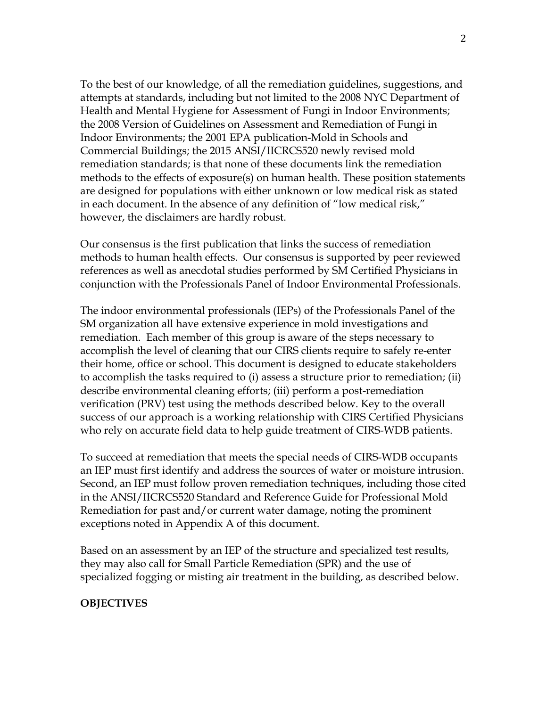To the best of our knowledge, of all the remediation guidelines, suggestions, and attempts at standards, including but not limited to the 2008 NYC Department of Health and Mental Hygiene for Assessment of Fungi in Indoor Environments; the 2008 Version of Guidelines on Assessment and Remediation of Fungi in Indoor Environments; the 2001 EPA publication-Mold in Schools and Commercial Buildings; the 2015 ANSI/IICRCS520 newly revised mold remediation standards; is that none of these documents link the remediation methods to the effects of exposure(s) on human health. These position statements are designed for populations with either unknown or low medical risk as stated in each document. In the absence of any definition of "low medical risk," however, the disclaimers are hardly robust.

Our consensus is the first publication that links the success of remediation methods to human health effects. Our consensus is supported by peer reviewed references as well as anecdotal studies performed by SM Certified Physicians in conjunction with the Professionals Panel of Indoor Environmental Professionals.

The indoor environmental professionals (IEPs) of the Professionals Panel of the SM organization all have extensive experience in mold investigations and remediation. Each member of this group is aware of the steps necessary to accomplish the level of cleaning that our CIRS clients require to safely re-enter their home, office or school. This document is designed to educate stakeholders to accomplish the tasks required to (i) assess a structure prior to remediation; (ii) describe environmental cleaning efforts; (iii) perform a post-remediation verification (PRV) test using the methods described below. Key to the overall success of our approach is a working relationship with CIRS Certified Physicians who rely on accurate field data to help guide treatment of CIRS-WDB patients.

To succeed at remediation that meets the special needs of CIRS-WDB occupants an IEP must first identify and address the sources of water or moisture intrusion. Second, an IEP must follow proven remediation techniques, including those cited in the ANSI/IICRCS520 Standard and Reference Guide for Professional Mold Remediation for past and/or current water damage, noting the prominent exceptions noted in Appendix A of this document.

Based on an assessment by an IEP of the structure and specialized test results, they may also call for Small Particle Remediation (SPR) and the use of specialized fogging or misting air treatment in the building, as described below.

### **OBJECTIVES**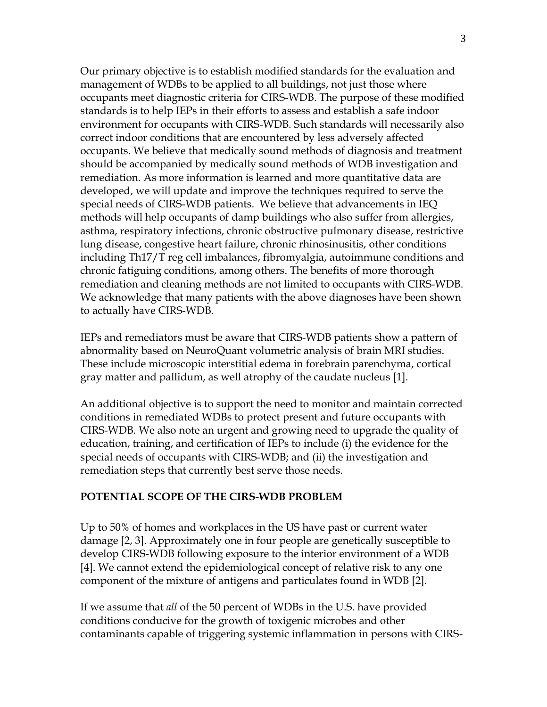Our primary objective is to establish modified standards for the evaluation and management of WDBs to be applied to all buildings, not just those where occupants meet diagnostic criteria for CIRS-WDB. The purpose of these modified standards is to help IEPs in their efforts to assess and establish a safe indoor environment for occupants with CIRS-WDB. Such standards will necessarily also correct indoor conditions that are encountered by less adversely affected occupants. We believe that medically sound methods of diagnosis and treatment should be accompanied by medically sound methods of WDB investigation and remediation. As more information is learned and more quantitative data are developed, we will update and improve the techniques required to serve the special needs of CIRS-WDB patients. We believe that advancements in IEQ methods will help occupants of damp buildings who also suffer from allergies, asthma, respiratory infections, chronic obstructive pulmonary disease, restrictive lung disease, congestive heart failure, chronic rhinosinusitis, other conditions including Th17/T reg cell imbalances, fibromyalgia, autoimmune conditions and chronic fatiguing conditions, among others. The benefits of more thorough remediation and cleaning methods are not limited to occupants with CIRS-WDB. We acknowledge that many patients with the above diagnoses have been shown to actually have CIRS-WDB.

IEPs and remediators must be aware that CIRS-WDB patients show a pattern of abnormality based on NeuroQuant volumetric analysis of brain MRI studies. These include microscopic interstitial edema in forebrain parenchyma, cortical gray matter and pallidum, as well atrophy of the caudate nucleus [1].

An additional objective is to support the need to monitor and maintain corrected conditions in remediated WDBs to protect present and future occupants with CIRS-WDB. We also note an urgent and growing need to upgrade the quality of education, training, and certification of IEPs to include (i) the evidence for the special needs of occupants with CIRS-WDB; and (ii) the investigation and remediation steps that currently best serve those needs.

### **POTENTIAL SCOPE OF THE CIRS-WDB PROBLEM**

Up to 50% of homes and workplaces in the US have past or current water damage [2, 3]. Approximately one in four people are genetically susceptible to develop CIRS-WDB following exposure to the interior environment of a WDB [4]. We cannot extend the epidemiological concept of relative risk to any one component of the mixture of antigens and particulates found in WDB [2].

If we assume that *all* of the 50 percent of WDBs in the U.S. have provided conditions conducive for the growth of toxigenic microbes and other contaminants capable of triggering systemic inflammation in persons with CIRS-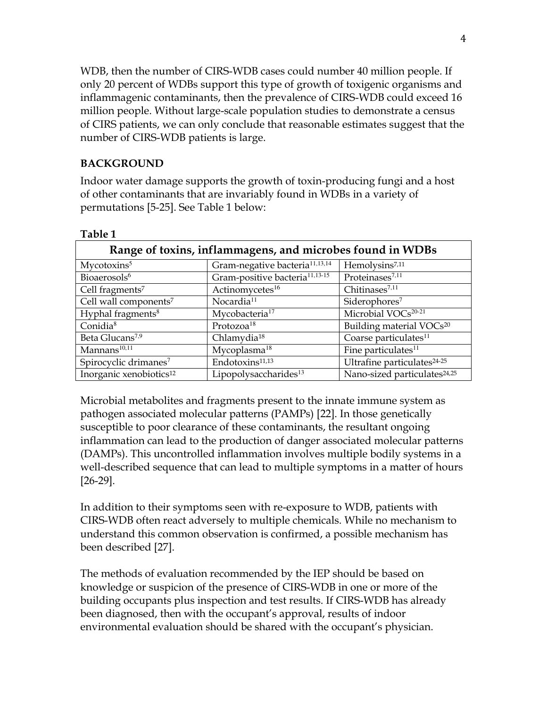WDB, then the number of CIRS-WDB cases could number 40 million people. If only 20 percent of WDBs support this type of growth of toxigenic organisms and inflammagenic contaminants, then the prevalence of CIRS-WDB could exceed 16 million people. Without large-scale population studies to demonstrate a census of CIRS patients, we can only conclude that reasonable estimates suggest that the number of CIRS-WDB patients is large.

### **BACKGROUND**

Indoor water damage supports the growth of toxin-producing fungi and a host of other contaminants that are invariably found in WDBs in a variety of permutations [5-25]. See Table 1 below:

| Range of toxins, inflammagens, and microbes found in WDBs |                                            |                                          |  |  |  |  |
|-----------------------------------------------------------|--------------------------------------------|------------------------------------------|--|--|--|--|
| Mycotoxins <sup>5</sup>                                   | Gram-negative bacteria <sup>11,13,14</sup> | Hemolysins <sup>7,11</sup>               |  |  |  |  |
| Bioaerosols <sup>6</sup>                                  | Gram-positive bacteria <sup>11,13-15</sup> | Proteinases <sup>7,11</sup>              |  |  |  |  |
| Cell fragments <sup>7</sup>                               | Actinomycetes <sup>16</sup>                | Chitinases <sup>7,11</sup>               |  |  |  |  |
| Cell wall components <sup>7</sup>                         | Nocardia <sup>11</sup>                     | Siderophores <sup>7</sup>                |  |  |  |  |
| Hyphal fragments <sup>8</sup>                             | Mycobacteria <sup>17</sup>                 | Microbial $VOCs^{20-21}$                 |  |  |  |  |
| Conidia <sup>8</sup>                                      | Protozoa <sup>18</sup>                     | Building material VOCs <sup>20</sup>     |  |  |  |  |
| Beta Glucans <sup>7,9</sup>                               | Chlamydia <sup>18</sup>                    | Coarse particulates <sup>11</sup>        |  |  |  |  |
| Mannans <sup>10,11</sup>                                  | Mycoplasma <sup>18</sup>                   | Fine particulates <sup>11</sup>          |  |  |  |  |
| Spirocyclic drimanes <sup>7</sup>                         | Endotoxins <sup>11,13</sup>                | Ultrafine particulates <sup>24-25</sup>  |  |  |  |  |
| Inorganic xenobiotics <sup>12</sup>                       | Lipopolysaccharides <sup>13</sup>          | Nano-sized particulates <sup>24,25</sup> |  |  |  |  |

**Table 1** 

Microbial metabolites and fragments present to the innate immune system as pathogen associated molecular patterns (PAMPs) [22]. In those genetically susceptible to poor clearance of these contaminants, the resultant ongoing inflammation can lead to the production of danger associated molecular patterns (DAMPs). This uncontrolled inflammation involves multiple bodily systems in a well-described sequence that can lead to multiple symptoms in a matter of hours [26-29].

In addition to their symptoms seen with re-exposure to WDB, patients with CIRS-WDB often react adversely to multiple chemicals. While no mechanism to understand this common observation is confirmed, a possible mechanism has been described [27].

The methods of evaluation recommended by the IEP should be based on knowledge or suspicion of the presence of CIRS-WDB in one or more of the building occupants plus inspection and test results. If CIRS-WDB has already been diagnosed, then with the occupant's approval, results of indoor environmental evaluation should be shared with the occupant's physician.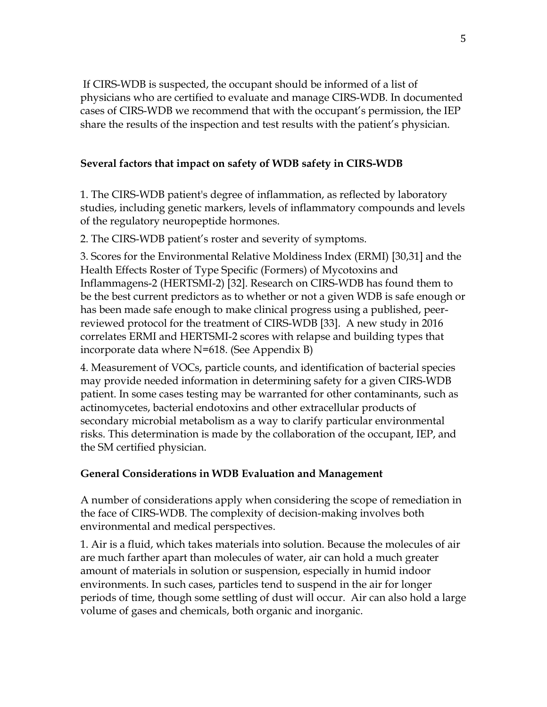If CIRS-WDB is suspected, the occupant should be informed of a list of physicians who are certified to evaluate and manage CIRS-WDB. In documented cases of CIRS-WDB we recommend that with the occupant's permission, the IEP share the results of the inspection and test results with the patient's physician.

# **Several factors that impact on safety of WDB safety in CIRS-WDB**

1. The CIRS-WDB patient's degree of inflammation, as reflected by laboratory studies, including genetic markers, levels of inflammatory compounds and levels of the regulatory neuropeptide hormones.

2. The CIRS-WDB patient's roster and severity of symptoms.

3. Scores for the Environmental Relative Moldiness Index (ERMI) [30,31] and the Health Effects Roster of Type Specific (Formers) of Mycotoxins and Inflammagens-2 (HERTSMI-2) [32]. Research on CIRS-WDB has found them to be the best current predictors as to whether or not a given WDB is safe enough or has been made safe enough to make clinical progress using a published, peerreviewed protocol for the treatment of CIRS-WDB [33]. A new study in 2016 correlates ERMI and HERTSMI-2 scores with relapse and building types that incorporate data where N=618. (See Appendix B)

4. Measurement of VOCs, particle counts, and identification of bacterial species may provide needed information in determining safety for a given CIRS-WDB patient. In some cases testing may be warranted for other contaminants, such as actinomycetes, bacterial endotoxins and other extracellular products of secondary microbial metabolism as a way to clarify particular environmental risks. This determination is made by the collaboration of the occupant, IEP, and the SM certified physician.

# **General Considerations in WDB Evaluation and Management**

A number of considerations apply when considering the scope of remediation in the face of CIRS-WDB. The complexity of decision-making involves both environmental and medical perspectives.

1. Air is a fluid, which takes materials into solution. Because the molecules of air are much farther apart than molecules of water, air can hold a much greater amount of materials in solution or suspension, especially in humid indoor environments. In such cases, particles tend to suspend in the air for longer periods of time, though some settling of dust will occur. Air can also hold a large volume of gases and chemicals, both organic and inorganic.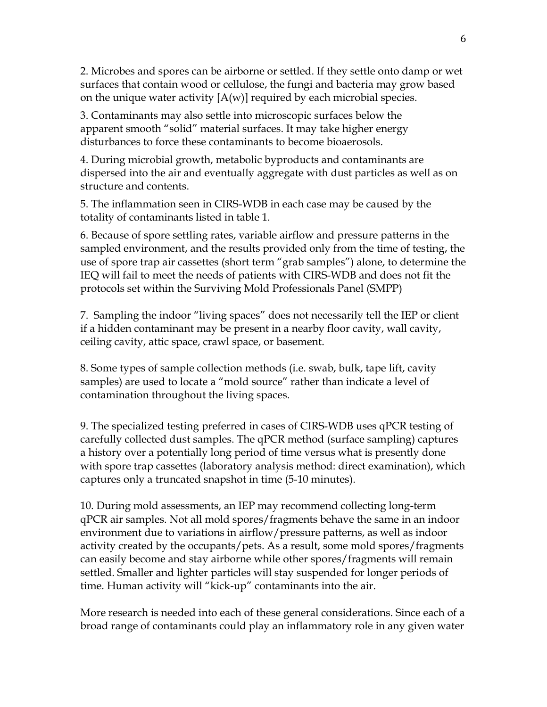2. Microbes and spores can be airborne or settled. If they settle onto damp or wet surfaces that contain wood or cellulose, the fungi and bacteria may grow based on the unique water activity  $[A(w)]$  required by each microbial species.

3. Contaminants may also settle into microscopic surfaces below the apparent smooth "solid" material surfaces. It may take higher energy disturbances to force these contaminants to become bioaerosols.

4. During microbial growth, metabolic byproducts and contaminants are dispersed into the air and eventually aggregate with dust particles as well as on structure and contents.

5. The inflammation seen in CIRS-WDB in each case may be caused by the totality of contaminants listed in table 1.

6. Because of spore settling rates, variable airflow and pressure patterns in the sampled environment, and the results provided only from the time of testing, the use of spore trap air cassettes (short term "grab samples") alone, to determine the IEQ will fail to meet the needs of patients with CIRS-WDB and does not fit the protocols set within the Surviving Mold Professionals Panel (SMPP)

7. Sampling the indoor "living spaces" does not necessarily tell the IEP or client if a hidden contaminant may be present in a nearby floor cavity, wall cavity, ceiling cavity, attic space, crawl space, or basement.

8. Some types of sample collection methods (i.e. swab, bulk, tape lift, cavity samples) are used to locate a "mold source" rather than indicate a level of contamination throughout the living spaces.

9. The specialized testing preferred in cases of CIRS-WDB uses qPCR testing of carefully collected dust samples. The qPCR method (surface sampling) captures a history over a potentially long period of time versus what is presently done with spore trap cassettes (laboratory analysis method: direct examination), which captures only a truncated snapshot in time (5-10 minutes).

10. During mold assessments, an IEP may recommend collecting long-term qPCR air samples. Not all mold spores/fragments behave the same in an indoor environment due to variations in airflow/pressure patterns, as well as indoor activity created by the occupants/pets. As a result, some mold spores/fragments can easily become and stay airborne while other spores/fragments will remain settled. Smaller and lighter particles will stay suspended for longer periods of time. Human activity will "kick-up" contaminants into the air.

More research is needed into each of these general considerations. Since each of a broad range of contaminants could play an inflammatory role in any given water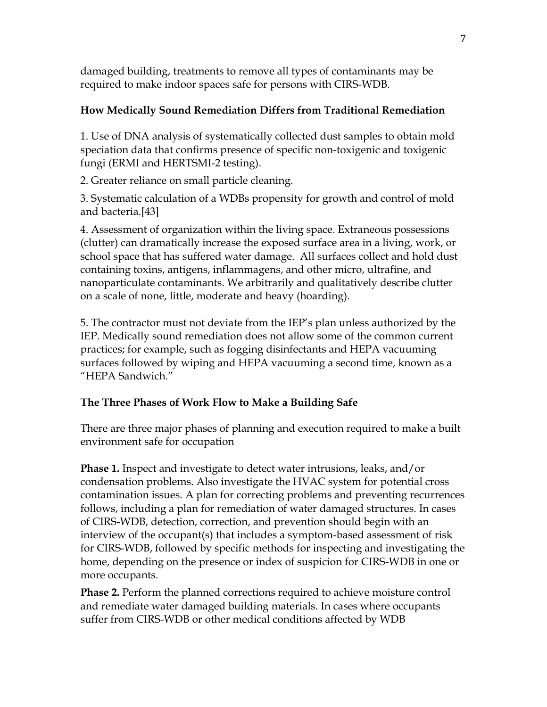damaged building, treatments to remove all types of contaminants may be required to make indoor spaces safe for persons with CIRS-WDB.

# **How Medically Sound Remediation Differs from Traditional Remediation**

1. Use of DNA analysis of systematically collected dust samples to obtain mold speciation data that confirms presence of specific non-toxigenic and toxigenic fungi (ERMI and HERTSMI-2 testing).

2. Greater reliance on small particle cleaning.

3. Systematic calculation of a WDBs propensity for growth and control of mold and bacteria.[43]

4. Assessment of organization within the living space. Extraneous possessions (clutter) can dramatically increase the exposed surface area in a living, work, or school space that has suffered water damage. All surfaces collect and hold dust containing toxins, antigens, inflammagens, and other micro, ultrafine, and nanoparticulate contaminants. We arbitrarily and qualitatively describe clutter on a scale of none, little, moderate and heavy (hoarding).

5. The contractor must not deviate from the IEP's plan unless authorized by the IEP. Medically sound remediation does not allow some of the common current practices; for example, such as fogging disinfectants and HEPA vacuuming surfaces followed by wiping and HEPA vacuuming a second time, known as a "HEPA Sandwich."

# **The Three Phases of Work Flow to Make a Building Safe**

There are three major phases of planning and execution required to make a built environment safe for occupation

**Phase 1.** Inspect and investigate to detect water intrusions, leaks, and/or condensation problems. Also investigate the HVAC system for potential cross contamination issues. A plan for correcting problems and preventing recurrences follows, including a plan for remediation of water damaged structures. In cases of CIRS-WDB, detection, correction, and prevention should begin with an interview of the occupant(s) that includes a symptom-based assessment of risk for CIRS-WDB, followed by specific methods for inspecting and investigating the home, depending on the presence or index of suspicion for CIRS-WDB in one or more occupants*.*

**Phase 2.** Perform the planned corrections required to achieve moisture control and remediate water damaged building materials. In cases where occupants suffer from CIRS-WDB or other medical conditions affected by WDB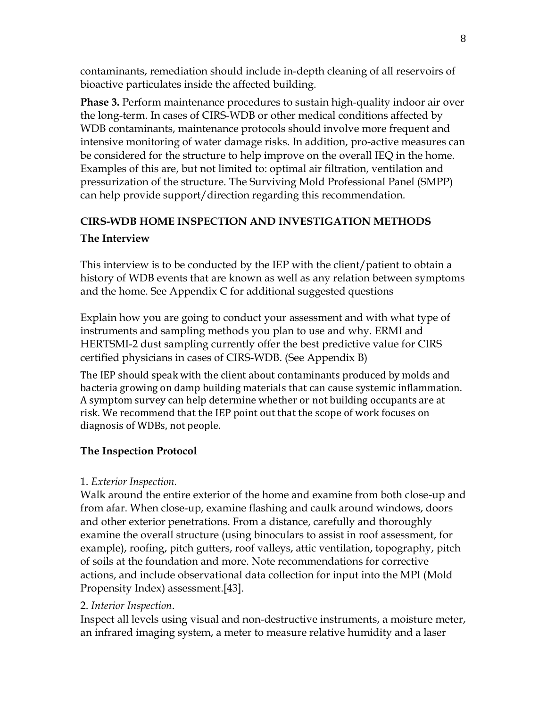contaminants, remediation should include in-depth cleaning of all reservoirs of bioactive particulates inside the affected building.

**Phase 3.** Perform maintenance procedures to sustain high-quality indoor air over the long-term. In cases of CIRS-WDB or other medical conditions affected by WDB contaminants, maintenance protocols should involve more frequent and intensive monitoring of water damage risks. In addition, pro-active measures can be considered for the structure to help improve on the overall IEQ in the home. Examples of this are, but not limited to: optimal air filtration, ventilation and pressurization of the structure. The Surviving Mold Professional Panel (SMPP) can help provide support/direction regarding this recommendation.

# **CIRS-WDB HOME INSPECTION AND INVESTIGATION METHODS**

# **The Interview**

This interview is to be conducted by the IEP with the client/patient to obtain a history of WDB events that are known as well as any relation between symptoms and the home. See Appendix C for additional suggested questions

Explain how you are going to conduct your assessment and with what type of instruments and sampling methods you plan to use and why. ERMI and HERTSMI-2 dust sampling currently offer the best predictive value for CIRS certified physicians in cases of CIRS-WDB. (See Appendix B)

The IEP should speak with the client about contaminants produced by molds and bacteria growing on damp building materials that can cause systemic inflammation. A symptom survey can help determine whether or not building occupants are at risk. We recommend that the IEP point out that the scope of work focuses on diagnosis of WDBs, not people.

# **The Inspection Protocol**

# 1. *Exterior Inspection.*

Walk around the entire exterior of the home and examine from both close-up and from afar. When close-up, examine flashing and caulk around windows, doors and other exterior penetrations. From a distance, carefully and thoroughly examine the overall structure (using binoculars to assist in roof assessment, for example), roofing, pitch gutters, roof valleys, attic ventilation, topography, pitch of soils at the foundation and more. Note recommendations for corrective actions, and include observational data collection for input into the MPI (Mold Propensity Index) assessment.[43].

# 2. *Interior Inspection*.

Inspect all levels using visual and non-destructive instruments, a moisture meter, an infrared imaging system, a meter to measure relative humidity and a laser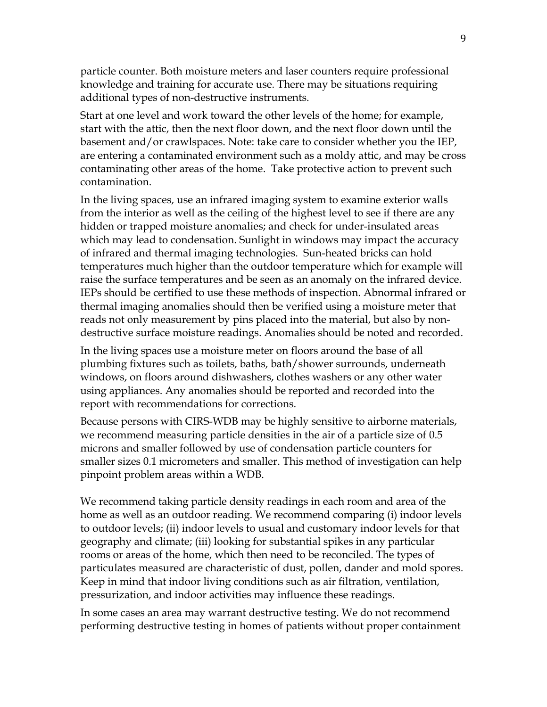particle counter. Both moisture meters and laser counters require professional knowledge and training for accurate use. There may be situations requiring additional types of non-destructive instruments.

Start at one level and work toward the other levels of the home; for example, start with the attic, then the next floor down, and the next floor down until the basement and/or crawlspaces. Note: take care to consider whether you the IEP, are entering a contaminated environment such as a moldy attic, and may be cross contaminating other areas of the home. Take protective action to prevent such contamination.

In the living spaces, use an infrared imaging system to examine exterior walls from the interior as well as the ceiling of the highest level to see if there are any hidden or trapped moisture anomalies; and check for under-insulated areas which may lead to condensation. Sunlight in windows may impact the accuracy of infrared and thermal imaging technologies. Sun-heated bricks can hold temperatures much higher than the outdoor temperature which for example will raise the surface temperatures and be seen as an anomaly on the infrared device. IEPs should be certified to use these methods of inspection. Abnormal infrared or thermal imaging anomalies should then be verified using a moisture meter that reads not only measurement by pins placed into the material, but also by nondestructive surface moisture readings. Anomalies should be noted and recorded.

In the living spaces use a moisture meter on floors around the base of all plumbing fixtures such as toilets, baths, bath/shower surrounds, underneath windows, on floors around dishwashers, clothes washers or any other water using appliances. Any anomalies should be reported and recorded into the report with recommendations for corrections.

Because persons with CIRS-WDB may be highly sensitive to airborne materials, we recommend measuring particle densities in the air of a particle size of 0.5 microns and smaller followed by use of condensation particle counters for smaller sizes 0.1 micrometers and smaller. This method of investigation can help pinpoint problem areas within a WDB.

We recommend taking particle density readings in each room and area of the home as well as an outdoor reading. We recommend comparing (i) indoor levels to outdoor levels; (ii) indoor levels to usual and customary indoor levels for that geography and climate; (iii) looking for substantial spikes in any particular rooms or areas of the home, which then need to be reconciled. The types of particulates measured are characteristic of dust, pollen, dander and mold spores. Keep in mind that indoor living conditions such as air filtration, ventilation, pressurization, and indoor activities may influence these readings.

In some cases an area may warrant destructive testing. We do not recommend performing destructive testing in homes of patients without proper containment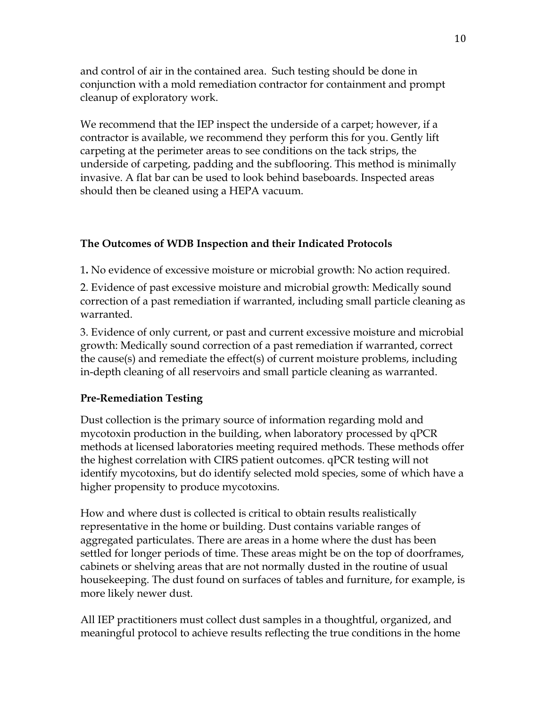and control of air in the contained area. Such testing should be done in conjunction with a mold remediation contractor for containment and prompt cleanup of exploratory work.

We recommend that the IEP inspect the underside of a carpet; however, if a contractor is available, we recommend they perform this for you. Gently lift carpeting at the perimeter areas to see conditions on the tack strips, the underside of carpeting, padding and the subflooring. This method is minimally invasive. A flat bar can be used to look behind baseboards. Inspected areas should then be cleaned using a HEPA vacuum.

### **The Outcomes of WDB Inspection and their Indicated Protocols**

1**.** No evidence of excessive moisture or microbial growth: No action required.

2. Evidence of past excessive moisture and microbial growth: Medically sound correction of a past remediation if warranted, including small particle cleaning as warranted.

3. Evidence of only current, or past and current excessive moisture and microbial growth: Medically sound correction of a past remediation if warranted, correct the cause(s) and remediate the effect(s) of current moisture problems, including in-depth cleaning of all reservoirs and small particle cleaning as warranted.

### **Pre-Remediation Testing**

Dust collection is the primary source of information regarding mold and mycotoxin production in the building, when laboratory processed by qPCR methods at licensed laboratories meeting required methods. These methods offer the highest correlation with CIRS patient outcomes. qPCR testing will not identify mycotoxins, but do identify selected mold species, some of which have a higher propensity to produce mycotoxins.

How and where dust is collected is critical to obtain results realistically representative in the home or building. Dust contains variable ranges of aggregated particulates. There are areas in a home where the dust has been settled for longer periods of time. These areas might be on the top of doorframes, cabinets or shelving areas that are not normally dusted in the routine of usual housekeeping. The dust found on surfaces of tables and furniture, for example, is more likely newer dust.

All IEP practitioners must collect dust samples in a thoughtful, organized, and meaningful protocol to achieve results reflecting the true conditions in the home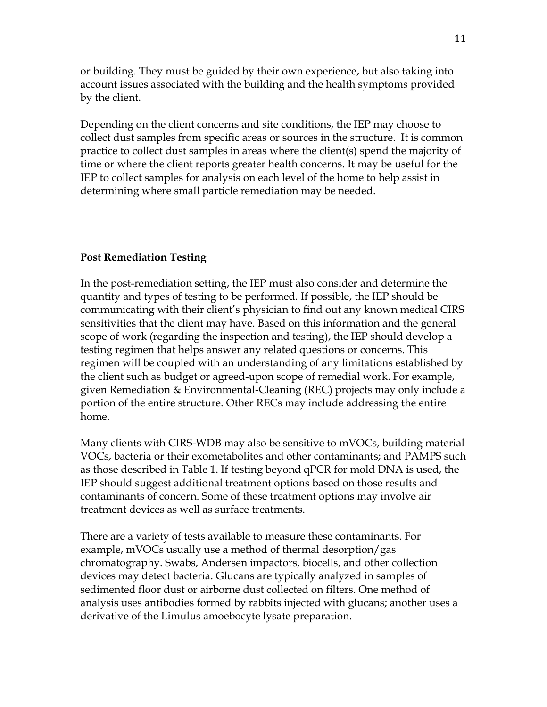or building. They must be guided by their own experience, but also taking into account issues associated with the building and the health symptoms provided by the client.

Depending on the client concerns and site conditions, the IEP may choose to collect dust samples from specific areas or sources in the structure. It is common practice to collect dust samples in areas where the client(s) spend the majority of time or where the client reports greater health concerns. It may be useful for the IEP to collect samples for analysis on each level of the home to help assist in determining where small particle remediation may be needed.

#### **Post Remediation Testing**

In the post-remediation setting, the IEP must also consider and determine the quantity and types of testing to be performed. If possible, the IEP should be communicating with their client's physician to find out any known medical CIRS sensitivities that the client may have. Based on this information and the general scope of work (regarding the inspection and testing), the IEP should develop a testing regimen that helps answer any related questions or concerns. This regimen will be coupled with an understanding of any limitations established by the client such as budget or agreed-upon scope of remedial work. For example, given Remediation & Environmental-Cleaning (REC) projects may only include a portion of the entire structure. Other RECs may include addressing the entire home.

Many clients with CIRS-WDB may also be sensitive to mVOCs, building material VOCs, bacteria or their exometabolites and other contaminants; and PAMPS such as those described in Table 1. If testing beyond qPCR for mold DNA is used, the IEP should suggest additional treatment options based on those results and contaminants of concern. Some of these treatment options may involve air treatment devices as well as surface treatments.

There are a variety of tests available to measure these contaminants. For example, mVOCs usually use a method of thermal desorption/gas chromatography. Swabs, Andersen impactors, biocells, and other collection devices may detect bacteria. Glucans are typically analyzed in samples of sedimented floor dust or airborne dust collected on filters. One method of analysis uses antibodies formed by rabbits injected with glucans; another uses a derivative of the Limulus amoebocyte lysate preparation.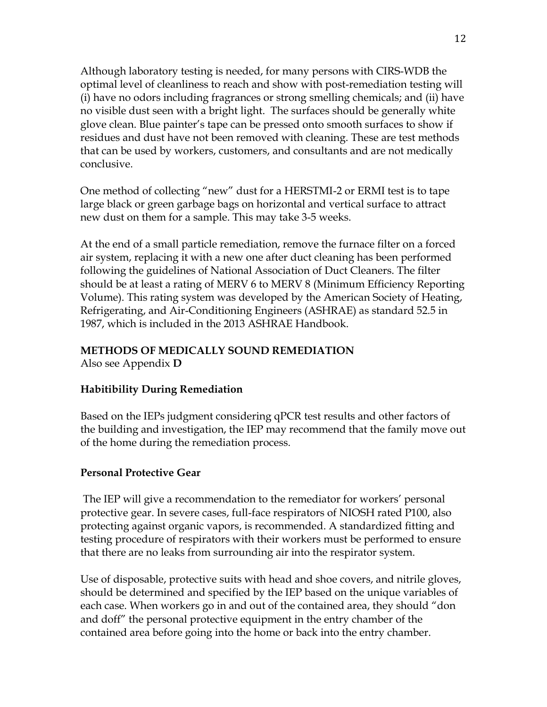Although laboratory testing is needed, for many persons with CIRS-WDB the optimal level of cleanliness to reach and show with post-remediation testing will (i) have no odors including fragrances or strong smelling chemicals; and (ii) have no visible dust seen with a bright light. The surfaces should be generally white glove clean. Blue painter's tape can be pressed onto smooth surfaces to show if residues and dust have not been removed with cleaning. These are test methods that can be used by workers, customers, and consultants and are not medically conclusive.

One method of collecting "new" dust for a HERSTMI-2 or ERMI test is to tape large black or green garbage bags on horizontal and vertical surface to attract new dust on them for a sample. This may take 3-5 weeks.

At the end of a small particle remediation, remove the furnace filter on a forced air system, replacing it with a new one after duct cleaning has been performed following the guidelines of National Association of Duct Cleaners. The filter should be at least a rating of MERV 6 to MERV 8 (Minimum Efficiency Reporting Volume). This rating system was developed by the American Society of Heating, Refrigerating, and Air-Conditioning Engineers (ASHRAE) as standard 52.5 in 1987, which is included in the 2013 ASHRAE Handbook.

# **METHODS OF MEDICALLY SOUND REMEDIATION**

Also see Appendix **D** 

# **Habitibility During Remediation**

Based on the IEPs judgment considering qPCR test results and other factors of the building and investigation, the IEP may recommend that the family move out of the home during the remediation process.

# **Personal Protective Gear**

 The IEP will give a recommendation to the remediator for workers' personal protective gear. In severe cases, full-face respirators of NIOSH rated P100, also protecting against organic vapors, is recommended. A standardized fitting and testing procedure of respirators with their workers must be performed to ensure that there are no leaks from surrounding air into the respirator system.

Use of disposable, protective suits with head and shoe covers, and nitrile gloves, should be determined and specified by the IEP based on the unique variables of each case. When workers go in and out of the contained area, they should "don and doff" the personal protective equipment in the entry chamber of the contained area before going into the home or back into the entry chamber.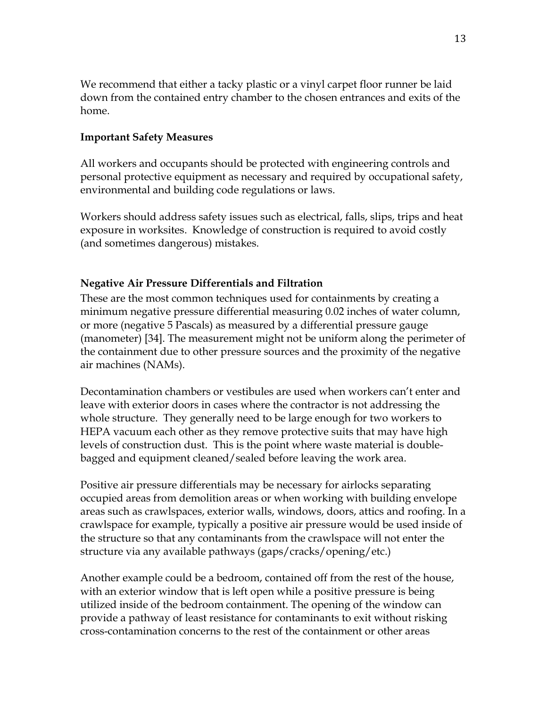We recommend that either a tacky plastic or a vinyl carpet floor runner be laid down from the contained entry chamber to the chosen entrances and exits of the home.

### **Important Safety Measures**

All workers and occupants should be protected with engineering controls and personal protective equipment as necessary and required by occupational safety, environmental and building code regulations or laws.

Workers should address safety issues such as electrical, falls, slips, trips and heat exposure in worksites. Knowledge of construction is required to avoid costly (and sometimes dangerous) mistakes.

### **Negative Air Pressure Differentials and Filtration**

These are the most common techniques used for containments by creating a minimum negative pressure differential measuring 0.02 inches of water column, or more (negative 5 Pascals) as measured by a differential pressure gauge (manometer) [34]. The measurement might not be uniform along the perimeter of the containment due to other pressure sources and the proximity of the negative air machines (NAMs).

Decontamination chambers or vestibules are used when workers can't enter and leave with exterior doors in cases where the contractor is not addressing the whole structure. They generally need to be large enough for two workers to HEPA vacuum each other as they remove protective suits that may have high levels of construction dust. This is the point where waste material is doublebagged and equipment cleaned/sealed before leaving the work area.

Positive air pressure differentials may be necessary for airlocks separating occupied areas from demolition areas or when working with building envelope areas such as crawlspaces, exterior walls, windows, doors, attics and roofing. In a crawlspace for example, typically a positive air pressure would be used inside of the structure so that any contaminants from the crawlspace will not enter the structure via any available pathways (gaps/cracks/opening/etc.)

Another example could be a bedroom, contained off from the rest of the house, with an exterior window that is left open while a positive pressure is being utilized inside of the bedroom containment. The opening of the window can provide a pathway of least resistance for contaminants to exit without risking cross-contamination concerns to the rest of the containment or other areas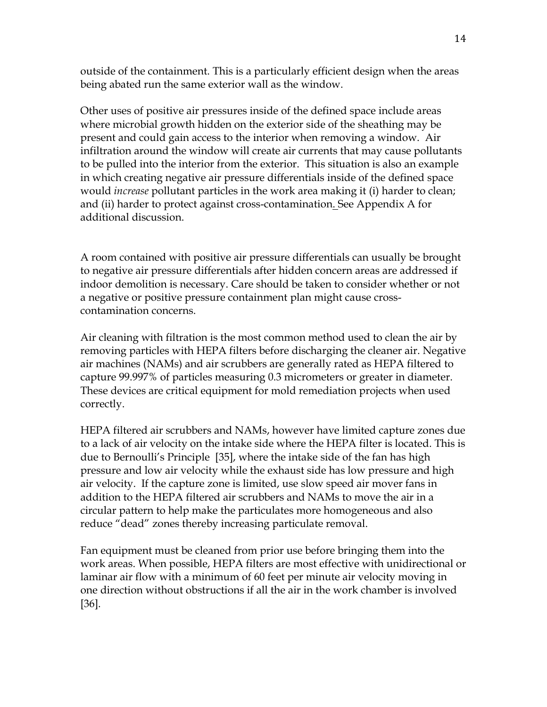outside of the containment. This is a particularly efficient design when the areas being abated run the same exterior wall as the window.

Other uses of positive air pressures inside of the defined space include areas where microbial growth hidden on the exterior side of the sheathing may be present and could gain access to the interior when removing a window. Air infiltration around the window will create air currents that may cause pollutants to be pulled into the interior from the exterior. This situation is also an example in which creating negative air pressure differentials inside of the defined space would *increase* pollutant particles in the work area making it (i) harder to clean; and (ii) harder to protect against cross-contamination. See Appendix A for additional discussion.

A room contained with positive air pressure differentials can usually be brought to negative air pressure differentials after hidden concern areas are addressed if indoor demolition is necessary. Care should be taken to consider whether or not a negative or positive pressure containment plan might cause crosscontamination concerns.

Air cleaning with filtration is the most common method used to clean the air by removing particles with HEPA filters before discharging the cleaner air. Negative air machines (NAMs) and air scrubbers are generally rated as HEPA filtered to capture 99.997% of particles measuring 0.3 micrometers or greater in diameter. These devices are critical equipment for mold remediation projects when used correctly.

HEPA filtered air scrubbers and NAMs, however have limited capture zones due to a lack of air velocity on the intake side where the HEPA filter is located. This is due to Bernoulli's Principle [35], where the intake side of the fan has high pressure and low air velocity while the exhaust side has low pressure and high air velocity. If the capture zone is limited, use slow speed air mover fans in addition to the HEPA filtered air scrubbers and NAMs to move the air in a circular pattern to help make the particulates more homogeneous and also reduce "dead" zones thereby increasing particulate removal.

Fan equipment must be cleaned from prior use before bringing them into the work areas. When possible, HEPA filters are most effective with unidirectional or laminar air flow with a minimum of 60 feet per minute air velocity moving in one direction without obstructions if all the air in the work chamber is involved [36].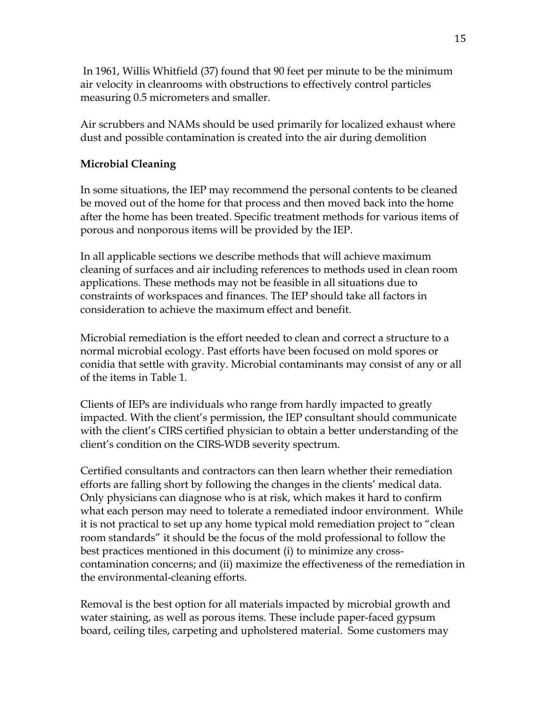In 1961, Willis Whitfield (37) found that 90 feet per minute to be the minimum air velocity in cleanrooms with obstructions to effectively control particles measuring 0.5 micrometers and smaller.

Air scrubbers and NAMs should be used primarily for localized exhaust where dust and possible contamination is created into the air during demolition

# **Microbial Cleaning**

In some situations, the IEP may recommend the personal contents to be cleaned be moved out of the home for that process and then moved back into the home after the home has been treated. Specific treatment methods for various items of porous and nonporous items will be provided by the IEP.

In all applicable sections we describe methods that will achieve maximum cleaning of surfaces and air including references to methods used in clean room applications. These methods may not be feasible in all situations due to constraints of workspaces and finances. The IEP should take all factors in consideration to achieve the maximum effect and benefit.

Microbial remediation is the effort needed to clean and correct a structure to a normal microbial ecology. Past efforts have been focused on mold spores or conidia that settle with gravity. Microbial contaminants may consist of any or all of the items in Table 1.

Clients of IEPs are individuals who range from hardly impacted to greatly impacted. With the client's permission, the IEP consultant should communicate with the client's CIRS certified physician to obtain a better understanding of the client's condition on the CIRS-WDB severity spectrum.

Certified consultants and contractors can then learn whether their remediation efforts are falling short by following the changes in the clients' medical data. Only physicians can diagnose who is at risk, which makes it hard to confirm what each person may need to tolerate a remediated indoor environment. While it is not practical to set up any home typical mold remediation project to "clean room standards" it should be the focus of the mold professional to follow the best practices mentioned in this document (i) to minimize any crosscontamination concerns; and (ii) maximize the effectiveness of the remediation in the environmental-cleaning efforts.

Removal is the best option for all materials impacted by microbial growth and water staining, as well as porous items. These include paper-faced gypsum board, ceiling tiles, carpeting and upholstered material. Some customers may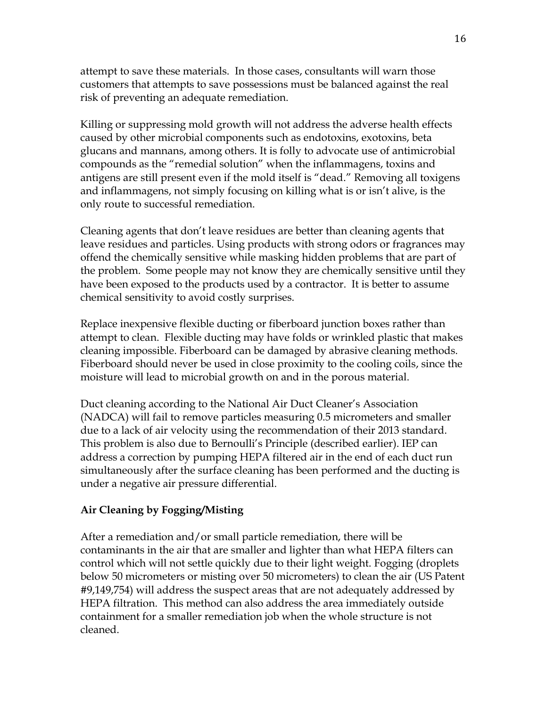attempt to save these materials. In those cases, consultants will warn those customers that attempts to save possessions must be balanced against the real risk of preventing an adequate remediation.

Killing or suppressing mold growth will not address the adverse health effects caused by other microbial components such as endotoxins, exotoxins, beta glucans and mannans, among others. It is folly to advocate use of antimicrobial compounds as the "remedial solution" when the inflammagens, toxins and antigens are still present even if the mold itself is "dead." Removing all toxigens and inflammagens, not simply focusing on killing what is or isn't alive, is the only route to successful remediation.

Cleaning agents that don't leave residues are better than cleaning agents that leave residues and particles. Using products with strong odors or fragrances may offend the chemically sensitive while masking hidden problems that are part of the problem. Some people may not know they are chemically sensitive until they have been exposed to the products used by a contractor. It is better to assume chemical sensitivity to avoid costly surprises.

Replace inexpensive flexible ducting or fiberboard junction boxes rather than attempt to clean. Flexible ducting may have folds or wrinkled plastic that makes cleaning impossible. Fiberboard can be damaged by abrasive cleaning methods. Fiberboard should never be used in close proximity to the cooling coils, since the moisture will lead to microbial growth on and in the porous material.

Duct cleaning according to the National Air Duct Cleaner's Association (NADCA) will fail to remove particles measuring 0.5 micrometers and smaller due to a lack of air velocity using the recommendation of their 2013 standard. This problem is also due to Bernoulli's Principle (described earlier). IEP can address a correction by pumping HEPA filtered air in the end of each duct run simultaneously after the surface cleaning has been performed and the ducting is under a negative air pressure differential.

### **Air Cleaning by Fogging/Misting**

After a remediation and/or small particle remediation, there will be contaminants in the air that are smaller and lighter than what HEPA filters can control which will not settle quickly due to their light weight. Fogging (droplets below 50 micrometers or misting over 50 micrometers) to clean the air (US Patent #9,149,754) will address the suspect areas that are not adequately addressed by HEPA filtration. This method can also address the area immediately outside containment for a smaller remediation job when the whole structure is not cleaned.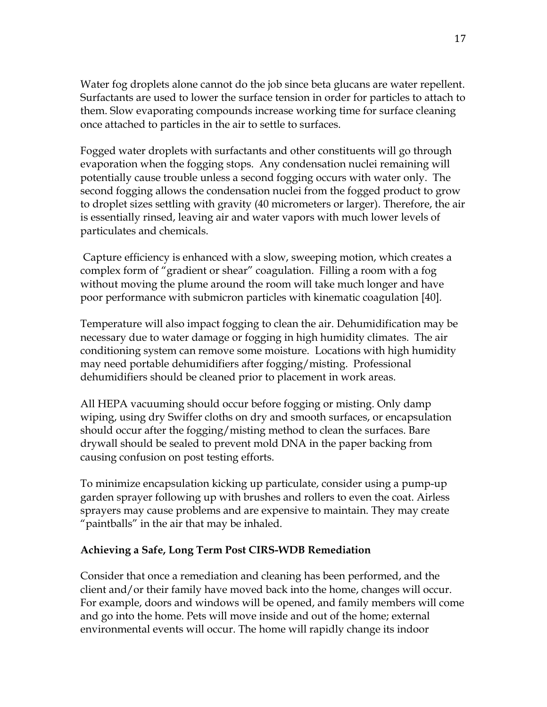Water fog droplets alone cannot do the job since beta glucans are water repellent. Surfactants are used to lower the surface tension in order for particles to attach to them. Slow evaporating compounds increase working time for surface cleaning once attached to particles in the air to settle to surfaces.

Fogged water droplets with surfactants and other constituents will go through evaporation when the fogging stops. Any condensation nuclei remaining will potentially cause trouble unless a second fogging occurs with water only. The second fogging allows the condensation nuclei from the fogged product to grow to droplet sizes settling with gravity (40 micrometers or larger). Therefore, the air is essentially rinsed, leaving air and water vapors with much lower levels of particulates and chemicals.

Capture efficiency is enhanced with a slow, sweeping motion, which creates a complex form of "gradient or shear" coagulation. Filling a room with a fog without moving the plume around the room will take much longer and have poor performance with submicron particles with kinematic coagulation [40].

Temperature will also impact fogging to clean the air. Dehumidification may be necessary due to water damage or fogging in high humidity climates. The air conditioning system can remove some moisture. Locations with high humidity may need portable dehumidifiers after fogging/misting. Professional dehumidifiers should be cleaned prior to placement in work areas.

All HEPA vacuuming should occur before fogging or misting. Only damp wiping, using dry Swiffer cloths on dry and smooth surfaces, or encapsulation should occur after the fogging/misting method to clean the surfaces. Bare drywall should be sealed to prevent mold DNA in the paper backing from causing confusion on post testing efforts.

To minimize encapsulation kicking up particulate, consider using a pump-up garden sprayer following up with brushes and rollers to even the coat. Airless sprayers may cause problems and are expensive to maintain. They may create "paintballs" in the air that may be inhaled.

### **Achieving a Safe, Long Term Post CIRS-WDB Remediation**

Consider that once a remediation and cleaning has been performed, and the client and/or their family have moved back into the home, changes will occur. For example, doors and windows will be opened, and family members will come and go into the home. Pets will move inside and out of the home; external environmental events will occur. The home will rapidly change its indoor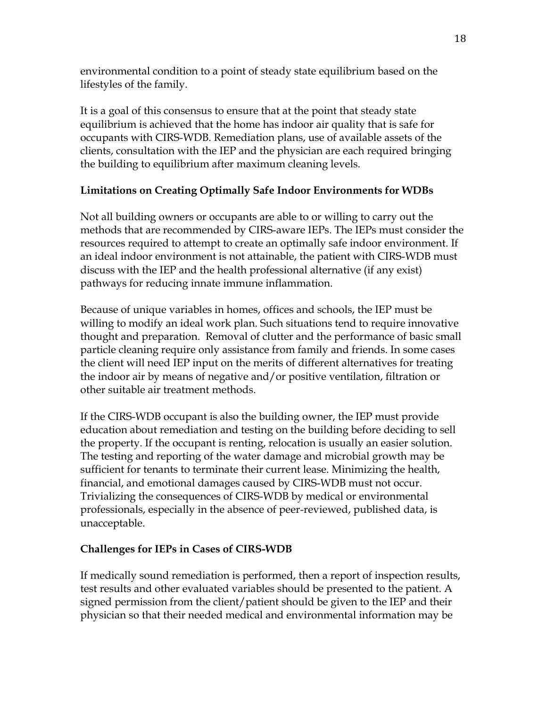environmental condition to a point of steady state equilibrium based on the lifestyles of the family.

It is a goal of this consensus to ensure that at the point that steady state equilibrium is achieved that the home has indoor air quality that is safe for occupants with CIRS-WDB. Remediation plans, use of available assets of the clients, consultation with the IEP and the physician are each required bringing the building to equilibrium after maximum cleaning levels.

# **Limitations on Creating Optimally Safe Indoor Environments for WDBs**

Not all building owners or occupants are able to or willing to carry out the methods that are recommended by CIRS-aware IEPs. The IEPs must consider the resources required to attempt to create an optimally safe indoor environment. If an ideal indoor environment is not attainable, the patient with CIRS-WDB must discuss with the IEP and the health professional alternative (if any exist) pathways for reducing innate immune inflammation.

Because of unique variables in homes, offices and schools, the IEP must be willing to modify an ideal work plan. Such situations tend to require innovative thought and preparation. Removal of clutter and the performance of basic small particle cleaning require only assistance from family and friends. In some cases the client will need IEP input on the merits of different alternatives for treating the indoor air by means of negative and/or positive ventilation, filtration or other suitable air treatment methods.

If the CIRS-WDB occupant is also the building owner, the IEP must provide education about remediation and testing on the building before deciding to sell the property. If the occupant is renting, relocation is usually an easier solution. The testing and reporting of the water damage and microbial growth may be sufficient for tenants to terminate their current lease. Minimizing the health, financial, and emotional damages caused by CIRS-WDB must not occur. Trivializing the consequences of CIRS-WDB by medical or environmental professionals, especially in the absence of peer-reviewed, published data, is unacceptable.

# **Challenges for IEPs in Cases of CIRS-WDB**

If medically sound remediation is performed, then a report of inspection results, test results and other evaluated variables should be presented to the patient. A signed permission from the client/patient should be given to the IEP and their physician so that their needed medical and environmental information may be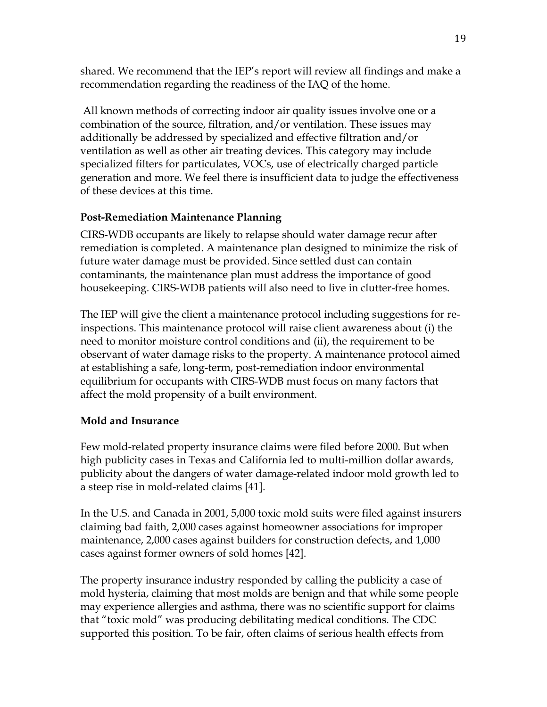shared. We recommend that the IEP's report will review all findings and make a recommendation regarding the readiness of the IAQ of the home.

 All known methods of correcting indoor air quality issues involve one or a combination of the source, filtration, and/or ventilation. These issues may additionally be addressed by specialized and effective filtration and/or ventilation as well as other air treating devices. This category may include specialized filters for particulates, VOCs, use of electrically charged particle generation and more. We feel there is insufficient data to judge the effectiveness of these devices at this time.

# **Post-Remediation Maintenance Planning**

CIRS-WDB occupants are likely to relapse should water damage recur after remediation is completed. A maintenance plan designed to minimize the risk of future water damage must be provided. Since settled dust can contain contaminants, the maintenance plan must address the importance of good housekeeping. CIRS-WDB patients will also need to live in clutter-free homes.

The IEP will give the client a maintenance protocol including suggestions for reinspections. This maintenance protocol will raise client awareness about (i) the need to monitor moisture control conditions and (ii), the requirement to be observant of water damage risks to the property. A maintenance protocol aimed at establishing a safe, long-term, post-remediation indoor environmental equilibrium for occupants with CIRS-WDB must focus on many factors that affect the mold propensity of a built environment.

# **Mold and Insurance**

Few mold-related property insurance claims were filed before 2000. But when high publicity cases in Texas and California led to multi-million dollar awards, publicity about the dangers of water damage-related indoor mold growth led to a steep rise in mold-related claims [41].

In the U.S. and Canada in 2001, 5,000 toxic mold suits were filed against insurers claiming bad faith, 2,000 cases against homeowner associations for improper maintenance, 2,000 cases against builders for construction defects, and 1,000 cases against former owners of sold homes [42].

The property insurance industry responded by calling the publicity a case of mold hysteria, claiming that most molds are benign and that while some people may experience allergies and asthma, there was no scientific support for claims that "toxic mold" was producing debilitating medical conditions. The CDC supported this position. To be fair, often claims of serious health effects from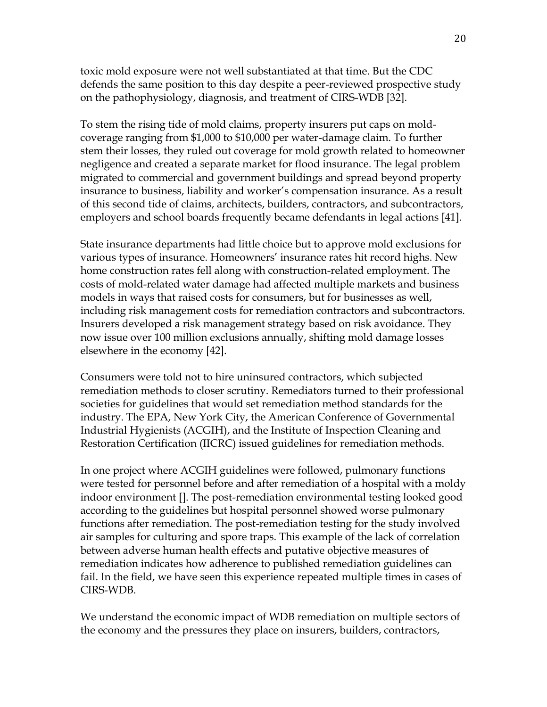toxic mold exposure were not well substantiated at that time. But the CDC defends the same position to this day despite a peer-reviewed prospective study on the pathophysiology, diagnosis, and treatment of CIRS-WDB [32].

To stem the rising tide of mold claims, property insurers put caps on moldcoverage ranging from \$1,000 to \$10,000 per water-damage claim. To further stem their losses, they ruled out coverage for mold growth related to homeowner negligence and created a separate market for flood insurance. The legal problem migrated to commercial and government buildings and spread beyond property insurance to business, liability and worker's compensation insurance. As a result of this second tide of claims, architects, builders, contractors, and subcontractors, employers and school boards frequently became defendants in legal actions [41].

State insurance departments had little choice but to approve mold exclusions for various types of insurance. Homeowners' insurance rates hit record highs. New home construction rates fell along with construction-related employment. The costs of mold-related water damage had affected multiple markets and business models in ways that raised costs for consumers, but for businesses as well, including risk management costs for remediation contractors and subcontractors. Insurers developed a risk management strategy based on risk avoidance. They now issue over 100 million exclusions annually, shifting mold damage losses elsewhere in the economy [42].

Consumers were told not to hire uninsured contractors, which subjected remediation methods to closer scrutiny. Remediators turned to their professional societies for guidelines that would set remediation method standards for the industry. The EPA, New York City, the American Conference of Governmental Industrial Hygienists (ACGIH), and the Institute of Inspection Cleaning and Restoration Certification (IICRC) issued guidelines for remediation methods.

In one project where ACGIH guidelines were followed, pulmonary functions were tested for personnel before and after remediation of a hospital with a moldy indoor environment []. The post-remediation environmental testing looked good according to the guidelines but hospital personnel showed worse pulmonary functions after remediation. The post-remediation testing for the study involved air samples for culturing and spore traps. This example of the lack of correlation between adverse human health effects and putative objective measures of remediation indicates how adherence to published remediation guidelines can fail. In the field, we have seen this experience repeated multiple times in cases of CIRS-WDB.

We understand the economic impact of WDB remediation on multiple sectors of the economy and the pressures they place on insurers, builders, contractors,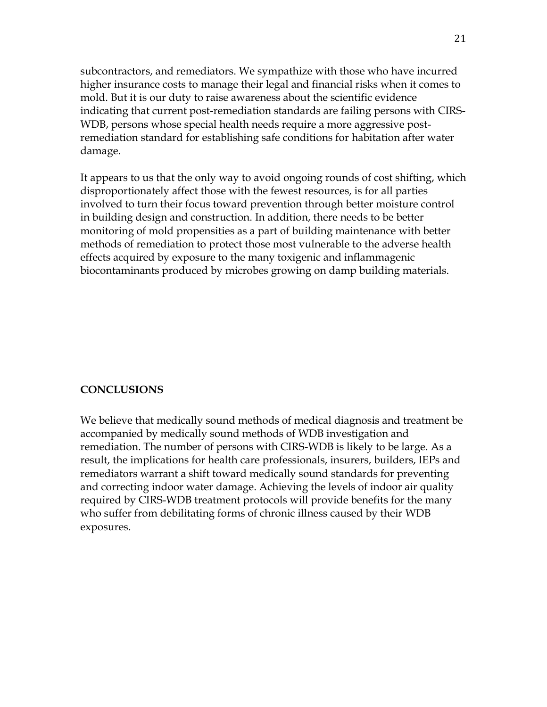subcontractors, and remediators. We sympathize with those who have incurred higher insurance costs to manage their legal and financial risks when it comes to mold. But it is our duty to raise awareness about the scientific evidence indicating that current post-remediation standards are failing persons with CIRS-WDB, persons whose special health needs require a more aggressive postremediation standard for establishing safe conditions for habitation after water damage.

It appears to us that the only way to avoid ongoing rounds of cost shifting, which disproportionately affect those with the fewest resources, is for all parties involved to turn their focus toward prevention through better moisture control in building design and construction. In addition, there needs to be better monitoring of mold propensities as a part of building maintenance with better methods of remediation to protect those most vulnerable to the adverse health effects acquired by exposure to the many toxigenic and inflammagenic biocontaminants produced by microbes growing on damp building materials.

### **CONCLUSIONS**

We believe that medically sound methods of medical diagnosis and treatment be accompanied by medically sound methods of WDB investigation and remediation. The number of persons with CIRS-WDB is likely to be large. As a result, the implications for health care professionals, insurers, builders, IEPs and remediators warrant a shift toward medically sound standards for preventing and correcting indoor water damage. Achieving the levels of indoor air quality required by CIRS-WDB treatment protocols will provide benefits for the many who suffer from debilitating forms of chronic illness caused by their WDB exposures.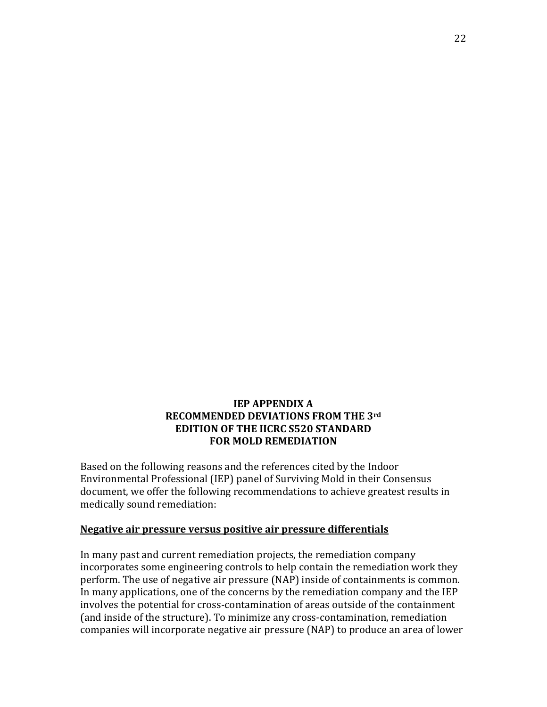### **IEP APPENDIX A RECOMMENDED DEVIATIONS FROM THE 3rd EDITION OF THE IICRC S520 STANDARD FOR MOLD REMEDIATION**

Based on the following reasons and the references cited by the Indoor Environmental Professional (IEP) panel of Surviving Mold in their Consensus document, we offer the following recommendations to achieve greatest results in medically sound remediation:

#### **Negative air pressure versus positive air pressure differentials**

In many past and current remediation projects, the remediation company incorporates some engineering controls to help contain the remediation work they perform. The use of negative air pressure (NAP) inside of containments is common. In many applications, one of the concerns by the remediation company and the IEP involves the potential for cross-contamination of areas outside of the containment (and inside of the structure). To minimize any cross-contamination, remediation companies will incorporate negative air pressure (NAP) to produce an area of lower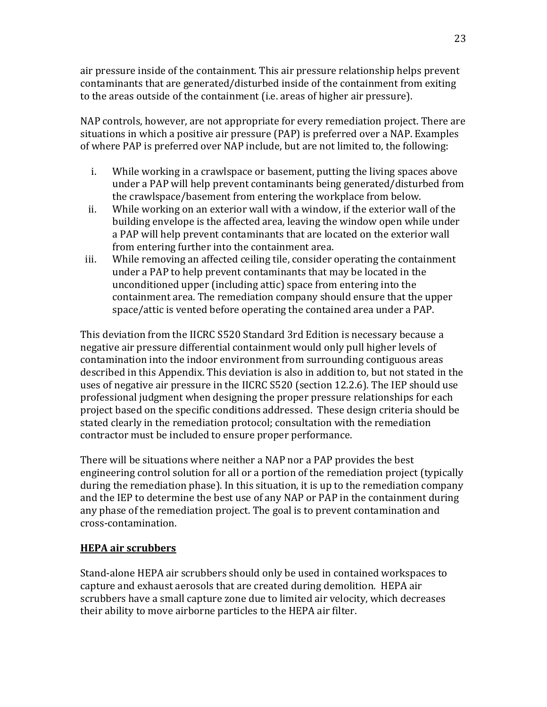air pressure inside of the containment. This air pressure relationship helps prevent contaminants that are generated/disturbed inside of the containment from exiting to the areas outside of the containment (i.e. areas of higher air pressure).

NAP controls, however, are not appropriate for every remediation project. There are situations in which a positive air pressure (PAP) is preferred over a NAP. Examples of where PAP is preferred over NAP include, but are not limited to, the following:

- i. While working in a crawlspace or basement, putting the living spaces above under a PAP will help prevent contaminants being generated/disturbed from the crawlspace/basement from entering the workplace from below.
- ii. While working on an exterior wall with a window, if the exterior wall of the building envelope is the affected area, leaving the window open while under a PAP will help prevent contaminants that are located on the exterior wall from entering further into the containment area.
- iii. While removing an affected ceiling tile, consider operating the containment under a PAP to help prevent contaminants that may be located in the unconditioned upper (including attic) space from entering into the containment area. The remediation company should ensure that the upper space/attic is vented before operating the contained area under a PAP.

This deviation from the IICRC S520 Standard 3rd Edition is necessary because a negative air pressure differential containment would only pull higher levels of contamination into the indoor environment from surrounding contiguous areas described in this Appendix. This deviation is also in addition to, but not stated in the uses of negative air pressure in the IICRC S520 (section 12.2.6). The IEP should use professional judgment when designing the proper pressure relationships for each project based on the specific conditions addressed. These design criteria should be stated clearly in the remediation protocol; consultation with the remediation contractor must be included to ensure proper performance.

There will be situations where neither a NAP nor a PAP provides the best engineering control solution for all or a portion of the remediation project (typically during the remediation phase). In this situation, it is up to the remediation company and the IEP to determine the best use of any NAP or PAP in the containment during any phase of the remediation project. The goal is to prevent contamination and cross-contamination.

# **HEPA air scrubbers**

Stand-alone HEPA air scrubbers should only be used in contained workspaces to capture and exhaust aerosols that are created during demolition. HEPA air scrubbers have a small capture zone due to limited air velocity, which decreases their ability to move airborne particles to the HEPA air filter.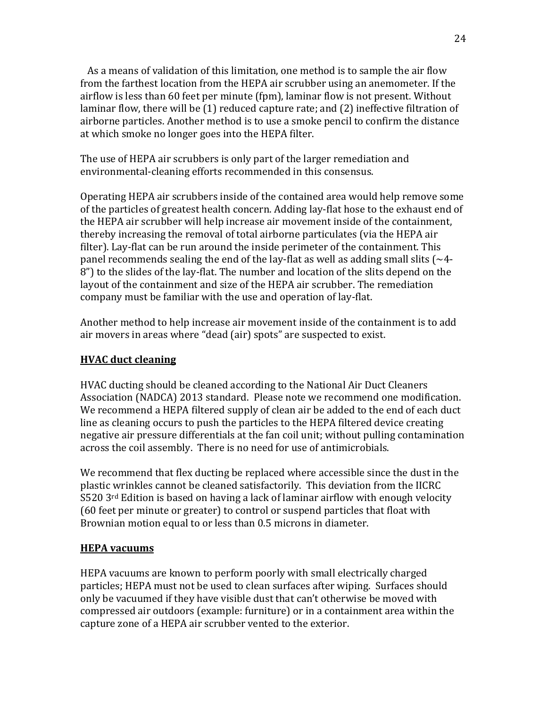As a means of validation of this limitation, one method is to sample the air flow from the farthest location from the HEPA air scrubber using an anemometer. If the airflow is less than 60 feet per minute (fpm), laminar flow is not present. Without laminar flow, there will be (1) reduced capture rate; and (2) ineffective filtration of airborne particles. Another method is to use a smoke pencil to confirm the distance at which smoke no longer goes into the HEPA filter.

The use of HEPA air scrubbers is only part of the larger remediation and environmental-cleaning efforts recommended in this consensus.

Operating HEPA air scrubbers inside of the contained area would help remove some of the particles of greatest health concern. Adding lay-flat hose to the exhaust end of the HEPA air scrubber will help increase air movement inside of the containment, thereby increasing the removal of total airborne particulates (via the HEPA air filter). Lay-flat can be run around the inside perimeter of the containment. This panel recommends sealing the end of the lay-flat as well as adding small slits ( $\sim$ 4-8") to the slides of the lay-flat. The number and location of the slits depend on the layout of the containment and size of the HEPA air scrubber. The remediation company must be familiar with the use and operation of lay-flat.

Another method to help increase air movement inside of the containment is to add air movers in areas where "dead (air) spots" are suspected to exist.

### **HVAC duct cleaning**

HVAC ducting should be cleaned according to the National Air Duct Cleaners Association (NADCA) 2013 standard. Please note we recommend one modification. We recommend a HEPA filtered supply of clean air be added to the end of each duct line as cleaning occurs to push the particles to the HEPA filtered device creating negative air pressure differentials at the fan coil unit; without pulling contamination across the coil assembly. There is no need for use of antimicrobials.

We recommend that flex ducting be replaced where accessible since the dust in the plastic wrinkles cannot be cleaned satisfactorily. This deviation from the IICRC  $S520$  3<sup>rd</sup> Edition is based on having a lack of laminar airflow with enough velocity (60 feet per minute or greater) to control or suspend particles that float with Brownian motion equal to or less than 0.5 microns in diameter.

# **HEPA vacuums**

HEPA vacuums are known to perform poorly with small electrically charged particles; HEPA must not be used to clean surfaces after wiping. Surfaces should only be vacuumed if they have visible dust that can't otherwise be moved with compressed air outdoors (example: furniture) or in a containment area within the capture zone of a HEPA air scrubber vented to the exterior.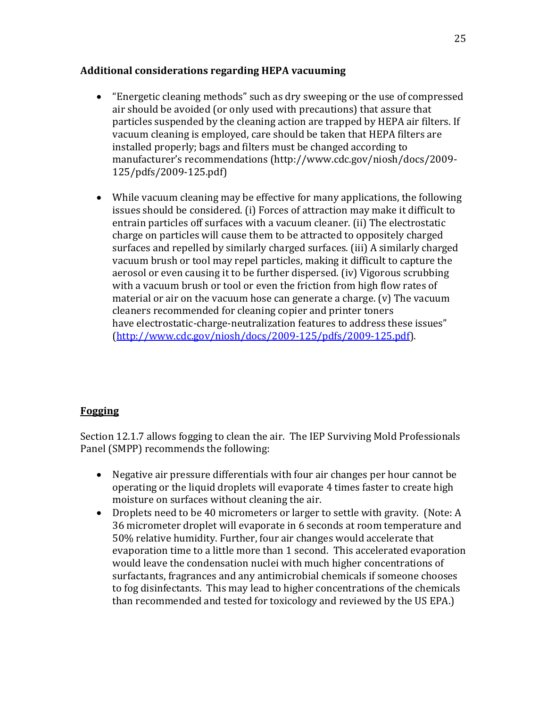### **Additional considerations regarding HEPA vacuuming**

- "Energetic cleaning methods" such as dry sweeping or the use of compressed air should be avoided (or only used with precautions) that assure that particles suspended by the cleaning action are trapped by HEPA air filters. If vacuum cleaning is employed, care should be taken that HEPA filters are installed properly; bags and filters must be changed according to manufacturer's recommendations (http://www.cdc.gov/niosh/docs/2009- 125/pdfs/2009-125.pdf)
- While vacuum cleaning may be effective for many applications, the following issues should be considered. (i) Forces of attraction may make it difficult to entrain particles off surfaces with a vacuum cleaner. (ii) The electrostatic charge on particles will cause them to be attracted to oppositely charged surfaces and repelled by similarly charged surfaces. (iii) A similarly charged vacuum brush or tool may repel particles, making it difficult to capture the aerosol or even causing it to be further dispersed. (iv) Vigorous scrubbing with a vacuum brush or tool or even the friction from high flow rates of material or air on the vacuum hose can generate a charge. (v) The vacuum cleaners recommended for cleaning copier and printer toners have electrostatic-charge-neutralization features to address these issues" [\(http://www.cdc.gov/niosh/docs/2009-125/pdfs/2009-125.pdf\)](http://www.cdc.gov/niosh/docs/2009-125/pdfs/2009-125.pdf).

# **Fogging**

Section 12.1.7 allows fogging to clean the air. The IEP Surviving Mold Professionals Panel (SMPP) recommends the following:

- Negative air pressure differentials with four air changes per hour cannot be operating or the liquid droplets will evaporate 4 times faster to create high moisture on surfaces without cleaning the air.
- Droplets need to be 40 micrometers or larger to settle with gravity. (Note: A 36 micrometer droplet will evaporate in 6 seconds at room temperature and 50% relative humidity. Further, four air changes would accelerate that evaporation time to a little more than 1 second. This accelerated evaporation would leave the condensation nuclei with much higher concentrations of surfactants, fragrances and any antimicrobial chemicals if someone chooses to fog disinfectants. This may lead to higher concentrations of the chemicals than recommended and tested for toxicology and reviewed by the US EPA.)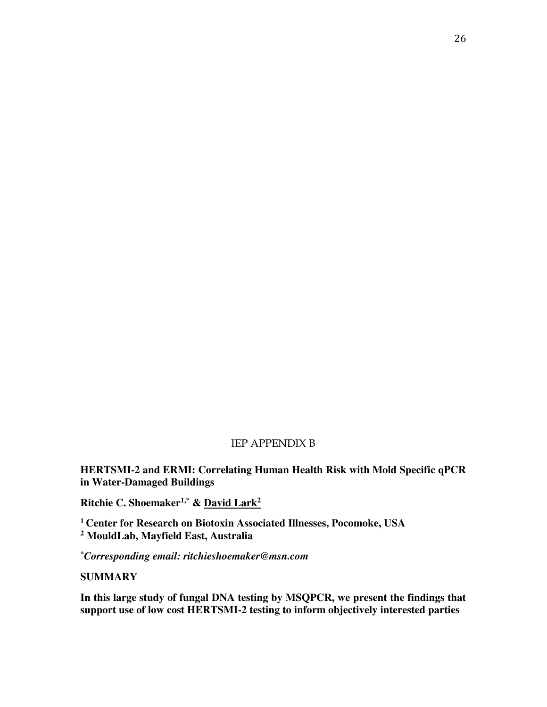### IEP APPENDIX B

**HERTSMI-2 and ERMI: Correlating Human Health Risk with Mold Specific qPCR in Water-Damaged Buildings** 

**Ritchie C. Shoemaker1,\* & David Lark<sup>2</sup>**

**<sup>1</sup>Center for Research on Biotoxin Associated Illnesses, Pocomoke, USA 2 MouldLab, Mayfield East, Australia** 

*\*Corresponding email: ritchieshoemaker@msn.com*

**SUMMARY** 

**In this large study of fungal DNA testing by MSQPCR, we present the findings that support use of low cost HERTSMI-2 testing to inform objectively interested parties**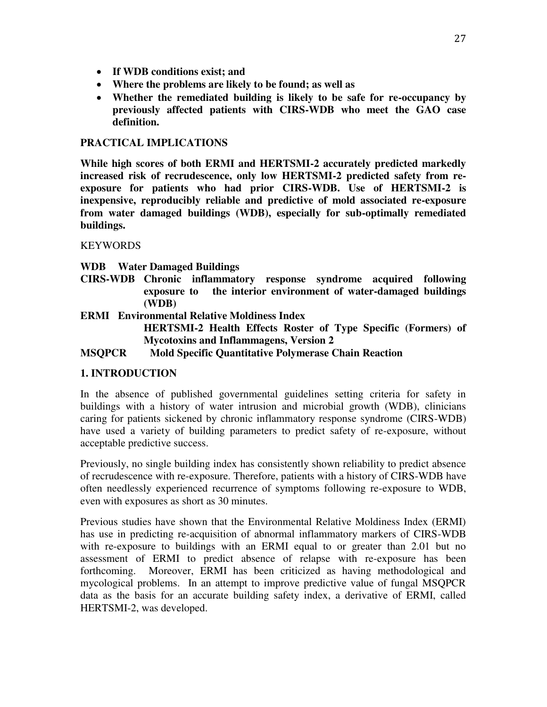- **If WDB conditions exist; and**
- **Where the problems are likely to be found; as well as**
- **Whether the remediated building is likely to be safe for re-occupancy by previously affected patients with CIRS-WDB who meet the GAO case definition.**

#### **PRACTICAL IMPLICATIONS**

**While high scores of both ERMI and HERTSMI-2 accurately predicted markedly increased risk of recrudescence, only low HERTSMI-2 predicted safety from reexposure for patients who had prior CIRS-WDB. Use of HERTSMI-2 is inexpensive, reproducibly reliable and predictive of mold associated re-exposure from water damaged buildings (WDB), especially for sub-optimally remediated buildings.** 

KEYWORDS

**WDB Water Damaged Buildings** 

**CIRS-WDB Chronic inflammatory response syndrome acquired following exposure to the interior environment of water-damaged buildings (WDB)** 

**ERMI Environmental Relative Moldiness Index HERTSMI-2 Health Effects Roster of Type Specific (Formers) of Mycotoxins and Inflammagens, Version 2 MSQPCR Mold Specific Quantitative Polymerase Chain Reaction** 

#### **1. INTRODUCTION**

In the absence of published governmental guidelines setting criteria for safety in buildings with a history of water intrusion and microbial growth (WDB), clinicians caring for patients sickened by chronic inflammatory response syndrome (CIRS-WDB) have used a variety of building parameters to predict safety of re-exposure, without acceptable predictive success.

Previously, no single building index has consistently shown reliability to predict absence of recrudescence with re-exposure. Therefore, patients with a history of CIRS-WDB have often needlessly experienced recurrence of symptoms following re-exposure to WDB, even with exposures as short as 30 minutes.

Previous studies have shown that the Environmental Relative Moldiness Index (ERMI) has use in predicting re-acquisition of abnormal inflammatory markers of CIRS-WDB with re-exposure to buildings with an ERMI equal to or greater than 2.01 but no assessment of ERMI to predict absence of relapse with re-exposure has been forthcoming. Moreover, ERMI has been criticized as having methodological and mycological problems. In an attempt to improve predictive value of fungal MSQPCR data as the basis for an accurate building safety index, a derivative of ERMI, called HERTSMI-2, was developed.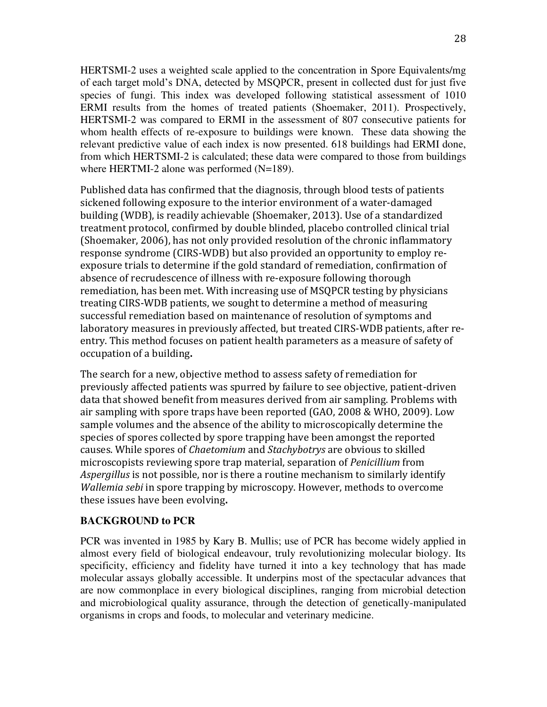HERTSMI-2 uses a weighted scale applied to the concentration in Spore Equivalents/mg of each target mold's DNA, detected by MSQPCR, present in collected dust for just five species of fungi. This index was developed following statistical assessment of 1010 ERMI results from the homes of treated patients (Shoemaker, 2011). Prospectively, HERTSMI-2 was compared to ERMI in the assessment of 807 consecutive patients for whom health effects of re-exposure to buildings were known. These data showing the relevant predictive value of each index is now presented. 618 buildings had ERMI done, from which HERTSMI-2 is calculated; these data were compared to those from buildings where HERTMI-2 alone was performed (N=189).

Published data has confirmed that the diagnosis, through blood tests of patients sickened following exposure to the interior environment of a water-damaged building (WDB), is readily achievable (Shoemaker, 2013). Use of a standardized treatment protocol, confirmed by double blinded, placebo controlled clinical trial (Shoemaker, 2006), has not only provided resolution of the chronic inflammatory response syndrome (CIRS-WDB) but also provided an opportunity to employ reexposure trials to determine if the gold standard of remediation, confirmation of absence of recrudescence of illness with re-exposure following thorough remediation, has been met. With increasing use of MSQPCR testing by physicians treating CIRS-WDB patients, we sought to determine a method of measuring successful remediation based on maintenance of resolution of symptoms and laboratory measures in previously affected, but treated CIRS-WDB patients, after reentry. This method focuses on patient health parameters as a measure of safety of occupation of a building**.** 

The search for a new, objective method to assess safety of remediation for previously affected patients was spurred by failure to see objective, patient-driven data that showed benefit from measures derived from air sampling. Problems with air sampling with spore traps have been reported (GAO, 2008 & WHO, 2009). Low sample volumes and the absence of the ability to microscopically determine the species of spores collected by spore trapping have been amongst the reported causes. While spores of *Chaetomium* and *Stachybotrys* are obvious to skilled microscopists reviewing spore trap material, separation of *Penicillium* from *Aspergillus* is not possible, nor is there a routine mechanism to similarly identify *Wallemia sebi* in spore trapping by microscopy. However, methods to overcome these issues have been evolving**.** 

#### **BACKGROUND to PCR**

PCR was invented in 1985 by Kary B. Mullis; use of PCR has become widely applied in almost every field of biological endeavour, truly revolutionizing molecular biology. Its specificity, efficiency and fidelity have turned it into a key technology that has made molecular assays globally accessible. It underpins most of the spectacular advances that are now commonplace in every biological disciplines, ranging from microbial detection and microbiological quality assurance, through the detection of genetically-manipulated organisms in crops and foods, to molecular and veterinary medicine.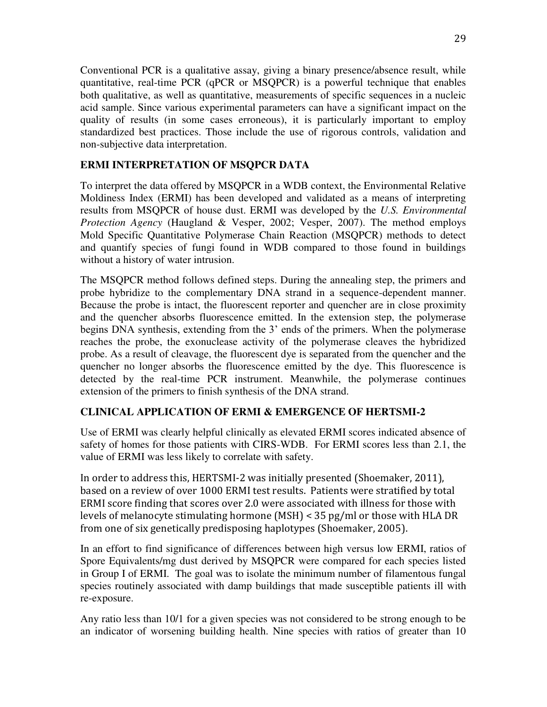Conventional PCR is a qualitative assay, giving a binary presence/absence result, while quantitative, real-time PCR (qPCR or MSQPCR) is a powerful technique that enables both qualitative, as well as quantitative, measurements of specific sequences in a nucleic acid sample. Since various experimental parameters can have a significant impact on the quality of results (in some cases erroneous), it is particularly important to employ standardized best practices. Those include the use of rigorous controls, validation and non-subjective data interpretation.

### **ERMI INTERPRETATION OF MSQPCR DATA**

To interpret the data offered by MSQPCR in a WDB context, the Environmental Relative Moldiness Index (ERMI) has been developed and validated as a means of interpreting results from MSQPCR of house dust. ERMI was developed by the *U.S. Environmental Protection Agency* (Haugland & Vesper, 2002; Vesper, 2007). The method employs Mold Specific Quantitative Polymerase Chain Reaction (MSQPCR) methods to detect and quantify species of fungi found in WDB compared to those found in buildings without a history of water intrusion.

The MSQPCR method follows defined steps. During the annealing step, the primers and probe hybridize to the complementary DNA strand in a sequence-dependent manner. Because the probe is intact, the fluorescent reporter and quencher are in close proximity and the quencher absorbs fluorescence emitted. In the extension step, the polymerase begins DNA synthesis, extending from the 3' ends of the primers. When the polymerase reaches the probe, the exonuclease activity of the polymerase cleaves the hybridized probe. As a result of cleavage, the fluorescent dye is separated from the quencher and the quencher no longer absorbs the fluorescence emitted by the dye. This fluorescence is detected by the real-time PCR instrument. Meanwhile, the polymerase continues extension of the primers to finish synthesis of the DNA strand.

### **CLINICAL APPLICATION OF ERMI & EMERGENCE OF HERTSMI-2**

Use of ERMI was clearly helpful clinically as elevated ERMI scores indicated absence of safety of homes for those patients with CIRS-WDB. For ERMI scores less than 2.1, the value of ERMI was less likely to correlate with safety.

In order to address this, HERTSMI-2 was initially presented (Shoemaker, 2011), based on a review of over 1000 ERMI test results. Patients were stratified by total ERMI score finding that scores over 2.0 were associated with illness for those with levels of melanocyte stimulating hormone (MSH) < 35 pg/ml or those with HLA DR from one of six genetically predisposing haplotypes (Shoemaker, 2005).

In an effort to find significance of differences between high versus low ERMI, ratios of Spore Equivalents/mg dust derived by MSQPCR were compared for each species listed in Group I of ERMI. The goal was to isolate the minimum number of filamentous fungal species routinely associated with damp buildings that made susceptible patients ill with re-exposure.

Any ratio less than 10/1 for a given species was not considered to be strong enough to be an indicator of worsening building health. Nine species with ratios of greater than 10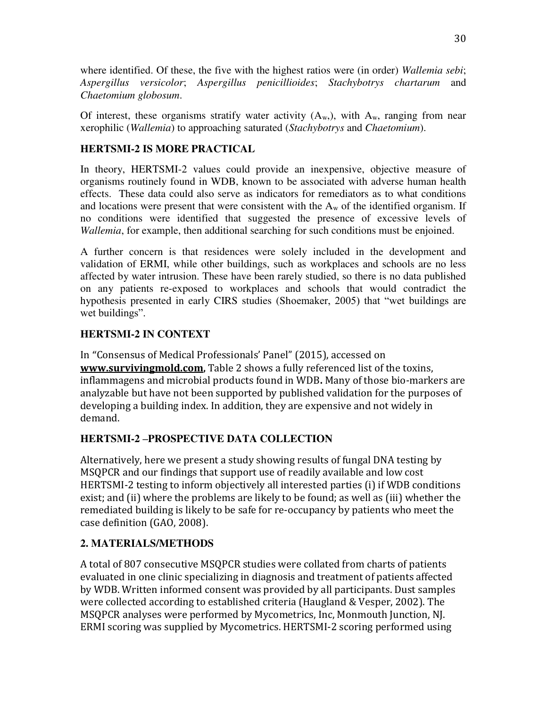where identified. Of these, the five with the highest ratios were (in order) *Wallemia sebi*; *Aspergillus versicolor*; *Aspergillus penicillioides*; *Stachybotrys chartarum* and *Chaetomium globosum*.

Of interest, these organisms stratify water activity  $(A_w)$ , with  $A_w$ , ranging from near xerophilic (*Wallemia*) to approaching saturated (*Stachybotrys* and *Chaetomium*).

### **HERTSMI-2 IS MORE PRACTICAL**

In theory, HERTSMI-2 values could provide an inexpensive, objective measure of organisms routinely found in WDB, known to be associated with adverse human health effects. These data could also serve as indicators for remediators as to what conditions and locations were present that were consistent with the  $A_w$  of the identified organism. If no conditions were identified that suggested the presence of excessive levels of *Wallemia*, for example, then additional searching for such conditions must be enjoined.

A further concern is that residences were solely included in the development and validation of ERMI, while other buildings, such as workplaces and schools are no less affected by water intrusion. These have been rarely studied, so there is no data published on any patients re-exposed to workplaces and schools that would contradict the hypothesis presented in early CIRS studies (Shoemaker, 2005) that "wet buildings are wet buildings".

### **HERTSMI-2 IN CONTEXT**

In "Consensus of Medical Professionals' Panel" (2015), accessed on **[www.survivingmold.com](http://www.survivingmold.com/),** Table 2 shows a fully referenced list of the toxins, inflammagens and microbial products found in WDB**.** Many of those bio-markers are analyzable but have not been supported by published validation for the purposes of developing a building index. In addition, they are expensive and not widely in demand.

# **HERTSMI-2 –PROSPECTIVE DATA COLLECTION**

Alternatively, here we present a study showing results of fungal DNA testing by MSQPCR and our findings that support use of readily available and low cost HERTSMI-2 testing to inform objectively all interested parties (i) if WDB conditions exist; and (ii) where the problems are likely to be found; as well as (iii) whether the remediated building is likely to be safe for re-occupancy by patients who meet the case definition (GAO, 2008).

# **2. MATERIALS/METHODS**

A total of 807 consecutive MSQPCR studies were collated from charts of patients evaluated in one clinic specializing in diagnosis and treatment of patients affected by WDB. Written informed consent was provided by all participants. Dust samples were collected according to established criteria (Haugland & Vesper, 2002). The MSQPCR analyses were performed by Mycometrics, Inc, Monmouth Junction, NJ. ERMI scoring was supplied by Mycometrics. HERTSMI-2 scoring performed using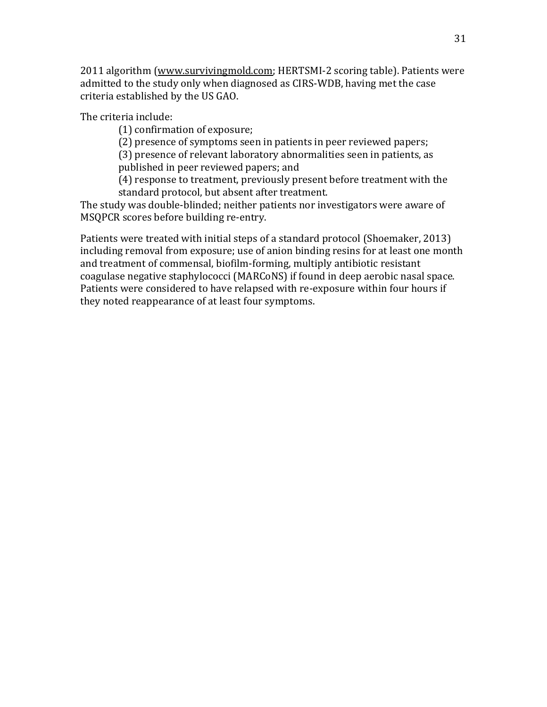2011 algorithm [\(www.survivingmold.com;](http://www.survivingmold.com/) HERTSMI-2 scoring table). Patients were admitted to the study only when diagnosed as CIRS-WDB, having met the case criteria established by the US GAO.

The criteria include:

(1) confirmation of exposure;

(2) presence of symptoms seen in patients in peer reviewed papers;

(3) presence of relevant laboratory abnormalities seen in patients, as published in peer reviewed papers; and

(4) response to treatment, previously present before treatment with the standard protocol, but absent after treatment.

The study was double-blinded; neither patients nor investigators were aware of MSQPCR scores before building re-entry.

Patients were treated with initial steps of a standard protocol (Shoemaker, 2013) including removal from exposure; use of anion binding resins for at least one month and treatment of commensal, biofilm-forming, multiply antibiotic resistant coagulase negative staphylococci (MARCoNS) if found in deep aerobic nasal space. Patients were considered to have relapsed with re-exposure within four hours if they noted reappearance of at least four symptoms.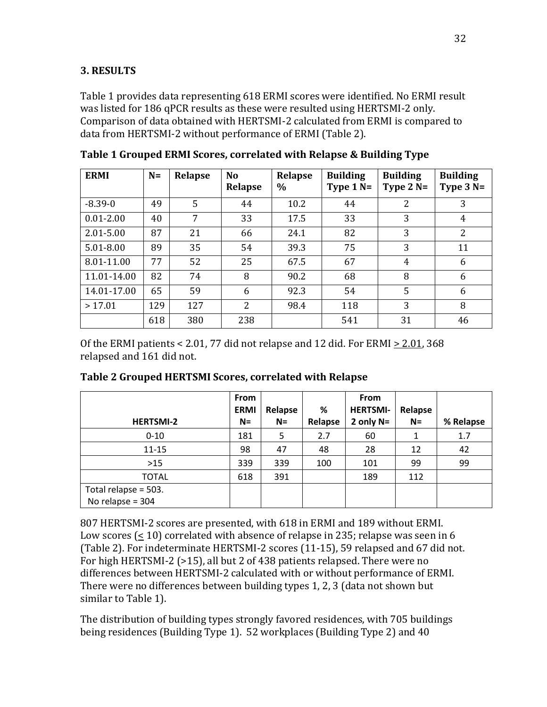### **3. RESULTS**

Table 1 provides data representing 618 ERMI scores were identified. No ERMI result was listed for 186 qPCR results as these were resulted using HERTSMI-2 only. Comparison of data obtained with HERTSMI-2 calculated from ERMI is compared to data from HERTSMI-2 without performance of ERMI (Table 2).

| <b>ERMI</b>   | $N=$ | Relapse | N <sub>o</sub><br>Relapse | Relapse<br>$\%$ | <b>Building</b><br>Type $1 N=$ | <b>Building</b><br>Type $2N=$ | <b>Building</b><br>Type $3N=$ |
|---------------|------|---------|---------------------------|-----------------|--------------------------------|-------------------------------|-------------------------------|
| $-8.39-0$     | 49   | 5       | 44                        | 10.2            | 44                             | $\overline{2}$                | 3                             |
| $0.01 - 2.00$ | 40   | 7       | 33                        | 17.5            | 33                             | 3                             | 4                             |
| 2.01-5.00     | 87   | 21      | 66                        | 24.1            | 82                             | 3                             | $\overline{2}$                |
| 5.01-8.00     | 89   | 35      | 54                        | 39.3            | 75                             | 3                             | 11                            |
| 8.01-11.00    | 77   | 52      | 25                        | 67.5            | 67                             | 4                             | 6                             |
| 11.01-14.00   | 82   | 74      | 8                         | 90.2            | 68                             | 8                             | 6                             |
| 14.01-17.00   | 65   | 59      | 6                         | 92.3            | 54                             | 5                             | 6                             |
| >17.01        | 129  | 127     | $\overline{2}$            | 98.4            | 118                            | 3                             | 8                             |
|               | 618  | 380     | 238                       |                 | 541                            | 31                            | 46                            |

**Table 1 Grouped ERMI Scores, correlated with Relapse & Building Type** 

Of the ERMI patients < 2.01, 77 did not relapse and 12 did. For ERMI  $\geq$  2.01, 368 relapsed and 161 did not.

|                      | <b>From</b> |         |         | <b>From</b>     |         |           |
|----------------------|-------------|---------|---------|-----------------|---------|-----------|
|                      | <b>ERMI</b> | Relapse | %       | <b>HERTSMI-</b> | Relapse |           |
| <b>HERTSMI-2</b>     | $N=$        | $N=$    | Relapse | 2 only $N=$     | $N=$    | % Relapse |
| $0 - 10$             | 181         | 5       | 2.7     | 60              |         | 1.7       |
| 11-15                | 98          | 47      | 48      | 28              | 12      | 42        |
| >15                  | 339         | 339     | 100     | 101             | 99      | 99        |
| TOTAL                | 618         | 391     |         | 189             | 112     |           |
| Total relapse = 503. |             |         |         |                 |         |           |
| No relapse = 304     |             |         |         |                 |         |           |

**Table 2 Grouped HERTSMI Scores, correlated with Relapse** 

807 HERTSMI-2 scores are presented, with 618 in ERMI and 189 without ERMI. Low scores (< 10) correlated with absence of relapse in 235; relapse was seen in 6 (Table 2). For indeterminate HERTSMI-2 scores (11-15), 59 relapsed and 67 did not. For high HERTSMI-2 (>15), all but 2 of 438 patients relapsed. There were no differences between HERTSMI-2 calculated with or without performance of ERMI. There were no differences between building types 1, 2, 3 (data not shown but similar to Table 1).

The distribution of building types strongly favored residences, with 705 buildings being residences (Building Type 1). 52 workplaces (Building Type 2) and 40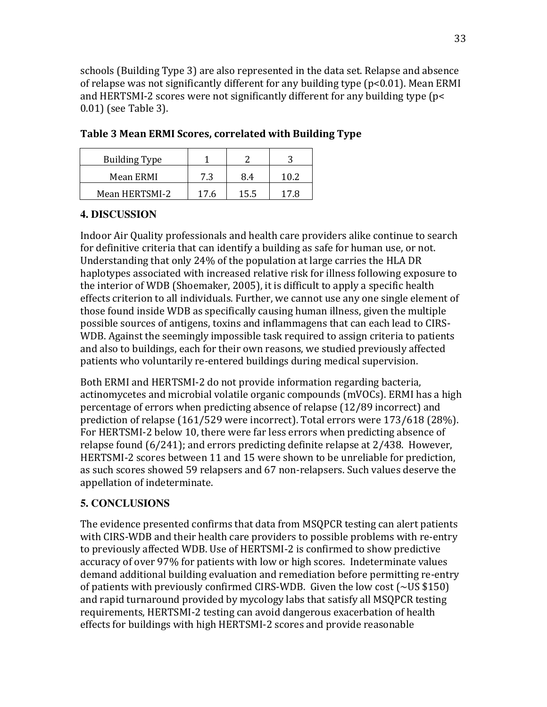schools (Building Type 3) are also represented in the data set. Relapse and absence of relapse was not significantly different for any building type (p<0.01). Mean ERMI and HERTSMI-2 scores were not significantly different for any building type (p< 0.01) (see Table 3).

| <b>Building Type</b> |      |      |      |  |
|----------------------|------|------|------|--|
| Mean ERMI            | 7.3  | 8.4  |      |  |
| Mean HERTSMI-2       | 17.6 | 15.5 | 17 R |  |

|  |  | Table 3 Mean ERMI Scores, correlated with Building Type |  |  |
|--|--|---------------------------------------------------------|--|--|
|  |  |                                                         |  |  |

### **4. DISCUSSION**

Indoor Air Quality professionals and health care providers alike continue to search for definitive criteria that can identify a building as safe for human use, or not. Understanding that only 24% of the population at large carries the HLA DR haplotypes associated with increased relative risk for illness following exposure to the interior of WDB (Shoemaker, 2005), it is difficult to apply a specific health effects criterion to all individuals. Further, we cannot use any one single element of those found inside WDB as specifically causing human illness, given the multiple possible sources of antigens, toxins and inflammagens that can each lead to CIRS-WDB. Against the seemingly impossible task required to assign criteria to patients and also to buildings, each for their own reasons, we studied previously affected patients who voluntarily re-entered buildings during medical supervision.

Both ERMI and HERTSMI-2 do not provide information regarding bacteria, actinomycetes and microbial volatile organic compounds (mVOCs). ERMI has a high percentage of errors when predicting absence of relapse (12/89 incorrect) and prediction of relapse (161/529 were incorrect). Total errors were 173/618 (28%). For HERTSMI-2 below 10, there were far less errors when predicting absence of relapse found (6/241); and errors predicting definite relapse at 2/438. However, HERTSMI-2 scores between 11 and 15 were shown to be unreliable for prediction, as such scores showed 59 relapsers and 67 non-relapsers. Such values deserve the appellation of indeterminate.

# **5. CONCLUSIONS**

The evidence presented confirms that data from MSQPCR testing can alert patients with CIRS-WDB and their health care providers to possible problems with re-entry to previously affected WDB. Use of HERTSMI-2 is confirmed to show predictive accuracy of over 97% for patients with low or high scores. Indeterminate values demand additional building evaluation and remediation before permitting re-entry of patients with previously confirmed CIRS-WDB. Given the low cost (~US \$150) and rapid turnaround provided by mycology labs that satisfy all MSQPCR testing requirements, HERTSMI-2 testing can avoid dangerous exacerbation of health effects for buildings with high HERTSMI-2 scores and provide reasonable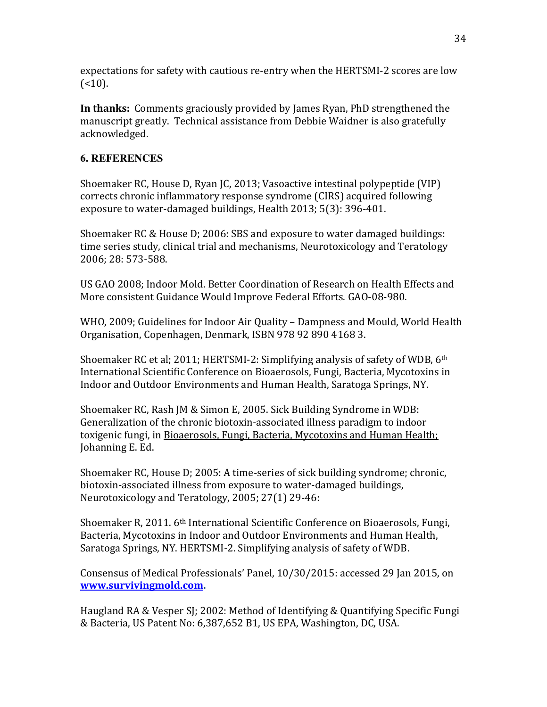expectations for safety with cautious re-entry when the HERTSMI-2 scores are low  $($ 

**In thanks:** Comments graciously provided by James Ryan, PhD strengthened the manuscript greatly. Technical assistance from Debbie Waidner is also gratefully acknowledged.

### **6. REFERENCES**

Shoemaker RC, House D, Ryan JC, 2013; Vasoactive intestinal polypeptide (VIP) corrects chronic inflammatory response syndrome (CIRS) acquired following exposure to water-damaged buildings, Health 2013; 5(3): 396-401.

Shoemaker RC & House D; 2006: SBS and exposure to water damaged buildings: time series study, clinical trial and mechanisms, Neurotoxicology and Teratology 2006; 28: 573-588.

US GAO 2008; Indoor Mold. Better Coordination of Research on Health Effects and More consistent Guidance Would Improve Federal Efforts. GAO-08-980.

WHO, 2009; Guidelines for Indoor Air Quality – Dampness and Mould, World Health Organisation, Copenhagen, Denmark, ISBN 978 92 890 4168 3.

Shoemaker RC et al; 2011; HERTSMI-2: Simplifying analysis of safety of WDB, 6th International Scientific Conference on Bioaerosols, Fungi, Bacteria, Mycotoxins in Indoor and Outdoor Environments and Human Health, Saratoga Springs, NY.

Shoemaker RC, Rash JM & Simon E, 2005. Sick Building Syndrome in WDB: Generalization of the chronic biotoxin-associated illness paradigm to indoor toxigenic fungi, in Bioaerosols, Fungi, Bacteria, Mycotoxins and Human Health; Johanning E. Ed.

Shoemaker RC, House D; 2005: A time-series of sick building syndrome; chronic, biotoxin-associated illness from exposure to water-damaged buildings, Neurotoxicology and Teratology, 2005; 27(1) 29-46:

Shoemaker R, 2011. 6th International Scientific Conference on Bioaerosols, Fungi, Bacteria, Mycotoxins in Indoor and Outdoor Environments and Human Health, Saratoga Springs, NY. HERTSMI-2. Simplifying analysis of safety of WDB.

Consensus of Medical Professionals' Panel, 10/30/2015: accessed 29 Jan 2015, on **[www.survivingmold.com.](http://www.survivingmold.com/)**

Haugland RA & Vesper SJ; 2002: Method of Identifying & Quantifying Specific Fungi & Bacteria, US Patent No: 6,387,652 B1, US EPA, Washington, DC, USA.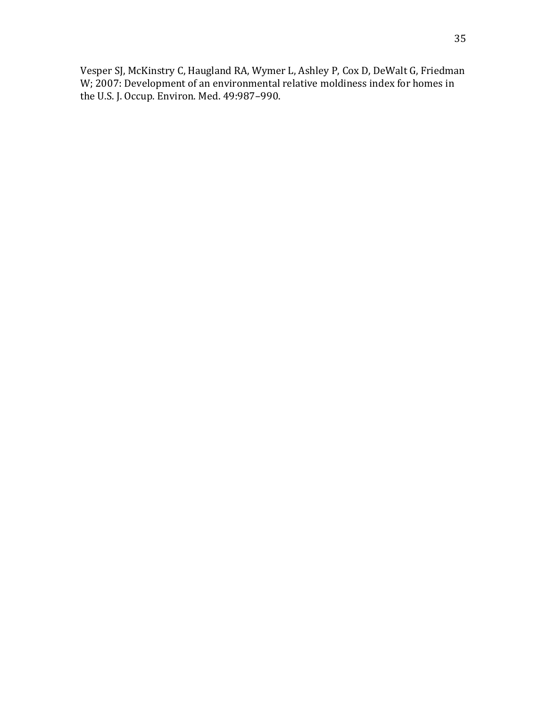Vesper SJ, McKinstry C, Haugland RA, Wymer L, Ashley P, Cox D, DeWalt G, Friedman W; 2007: Development of an environmental relative moldiness index for homes in the U.S. J. Occup. Environ. Med. 49:987–990.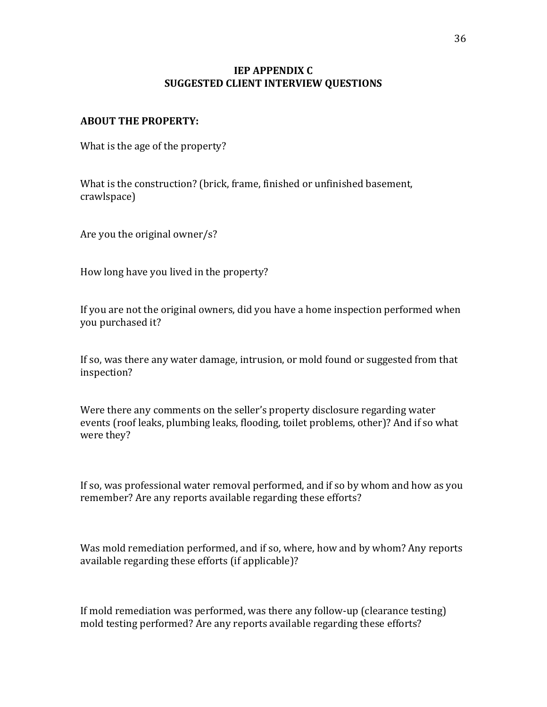### **IEP APPENDIX C SUGGESTED CLIENT INTERVIEW QUESTIONS**

#### **ABOUT THE PROPERTY:**

What is the age of the property?

What is the construction? (brick, frame, finished or unfinished basement, crawlspace)

Are you the original owner/s?

How long have you lived in the property?

If you are not the original owners, did you have a home inspection performed when you purchased it?

If so, was there any water damage, intrusion, or mold found or suggested from that inspection?

Were there any comments on the seller's property disclosure regarding water events (roof leaks, plumbing leaks, flooding, toilet problems, other)? And if so what were they?

If so, was professional water removal performed, and if so by whom and how as you remember? Are any reports available regarding these efforts?

Was mold remediation performed, and if so, where, how and by whom? Any reports available regarding these efforts (if applicable)?

If mold remediation was performed, was there any follow-up (clearance testing) mold testing performed? Are any reports available regarding these efforts?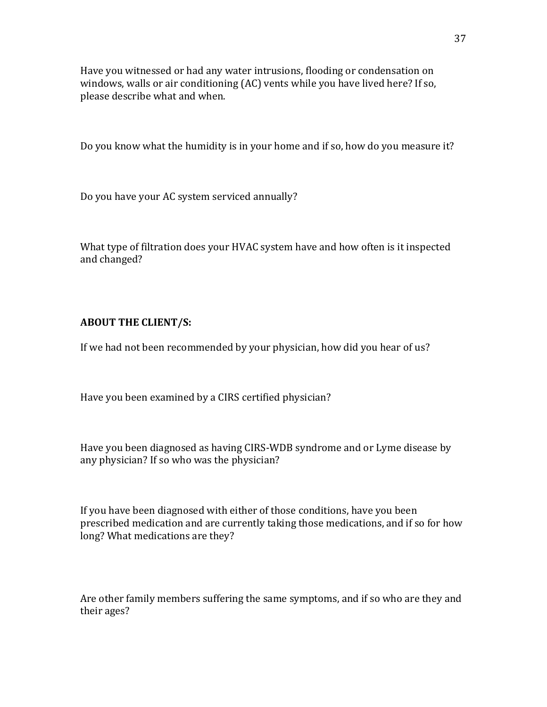Have you witnessed or had any water intrusions, flooding or condensation on windows, walls or air conditioning (AC) vents while you have lived here? If so, please describe what and when.

Do you know what the humidity is in your home and if so, how do you measure it?

Do you have your AC system serviced annually?

What type of filtration does your HVAC system have and how often is it inspected and changed?

### **ABOUT THE CLIENT/S:**

If we had not been recommended by your physician, how did you hear of us?

Have you been examined by a CIRS certified physician?

Have you been diagnosed as having CIRS-WDB syndrome and or Lyme disease by any physician? If so who was the physician?

If you have been diagnosed with either of those conditions, have you been prescribed medication and are currently taking those medications, and if so for how long? What medications are they?

Are other family members suffering the same symptoms, and if so who are they and their ages?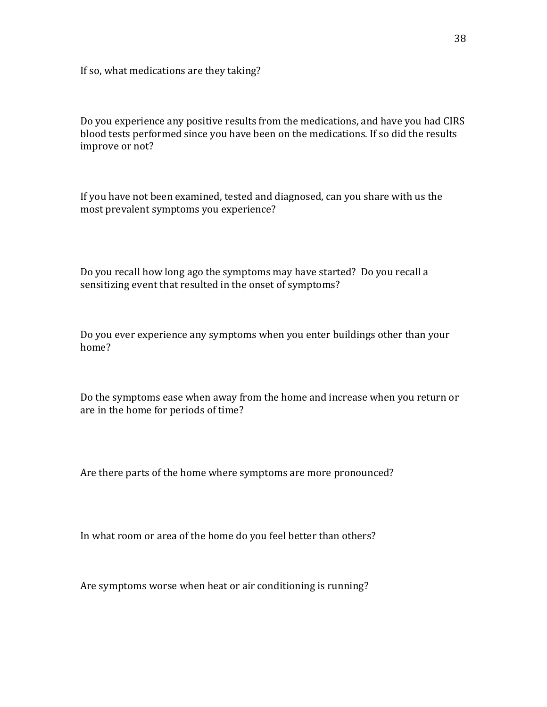If so, what medications are they taking?

Do you experience any positive results from the medications, and have you had CIRS blood tests performed since you have been on the medications. If so did the results improve or not?

If you have not been examined, tested and diagnosed, can you share with us the most prevalent symptoms you experience?

Do you recall how long ago the symptoms may have started? Do you recall a sensitizing event that resulted in the onset of symptoms?

Do you ever experience any symptoms when you enter buildings other than your home?

Do the symptoms ease when away from the home and increase when you return or are in the home for periods of time?

Are there parts of the home where symptoms are more pronounced?

In what room or area of the home do you feel better than others?

Are symptoms worse when heat or air conditioning is running?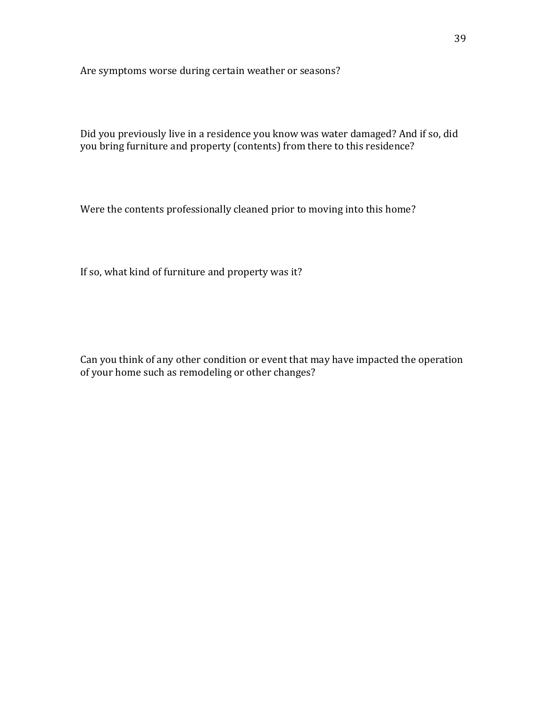Are symptoms worse during certain weather or seasons?

Did you previously live in a residence you know was water damaged? And if so, did you bring furniture and property (contents) from there to this residence?

Were the contents professionally cleaned prior to moving into this home?

If so, what kind of furniture and property was it?

Can you think of any other condition or event that may have impacted the operation of your home such as remodeling or other changes?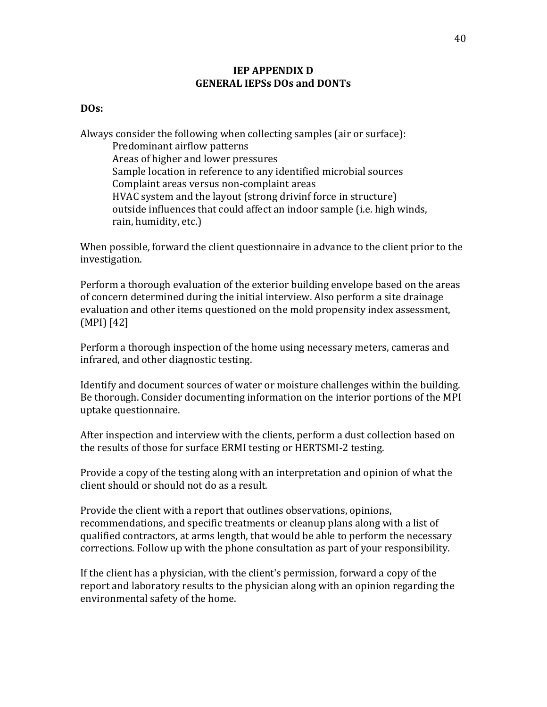#### **IEP APPENDIX D GENERAL IEPSs DOs and DONTs**

#### **DOs:**

Always consider the following when collecting samples (air or surface): Predominant airflow patterns Areas of higher and lower pressures Sample location in reference to any identified microbial sources Complaint areas versus non-complaint areas HVAC system and the layout (strong drivinf force in structure) outside influences that could affect an indoor sample (i.e. high winds, rain, humidity, etc.)

When possible, forward the client questionnaire in advance to the client prior to the investigation.

Perform a thorough evaluation of the exterior building envelope based on the areas of concern determined during the initial interview. Also perform a site drainage evaluation and other items questioned on the mold propensity index assessment, (MPI) [42]

Perform a thorough inspection of the home using necessary meters, cameras and infrared, and other diagnostic testing.

Identify and document sources of water or moisture challenges within the building. Be thorough. Consider documenting information on the interior portions of the MPI uptake questionnaire.

After inspection and interview with the clients, perform a dust collection based on the results of those for surface ERMI testing or HERTSMI-2 testing.

Provide a copy of the testing along with an interpretation and opinion of what the client should or should not do as a result.

Provide the client with a report that outlines observations, opinions, recommendations, and specific treatments or cleanup plans along with a list of qualified contractors, at arms length, that would be able to perform the necessary corrections. Follow up with the phone consultation as part of your responsibility.

If the client has a physician, with the client's permission, forward a copy of the report and laboratory results to the physician along with an opinion regarding the environmental safety of the home.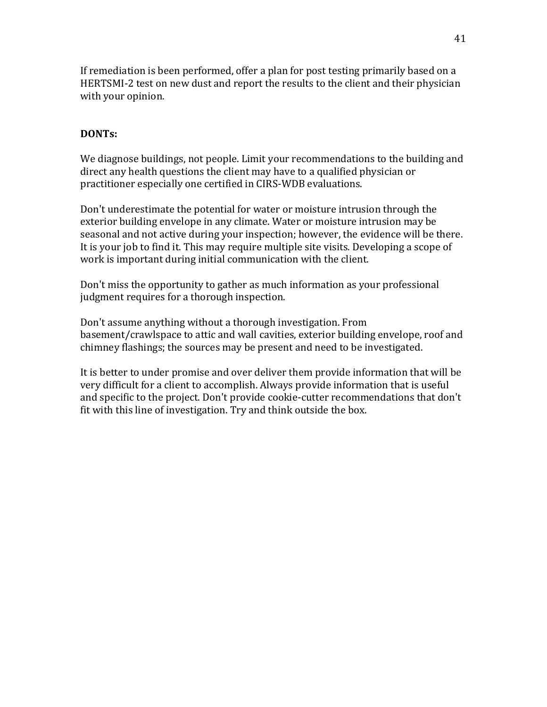If remediation is been performed, offer a plan for post testing primarily based on a HERTSMI-2 test on new dust and report the results to the client and their physician with your opinion.

### **DONTs:**

We diagnose buildings, not people. Limit your recommendations to the building and direct any health questions the client may have to a qualified physician or practitioner especially one certified in CIRS-WDB evaluations.

Don't underestimate the potential for water or moisture intrusion through the exterior building envelope in any climate. Water or moisture intrusion may be seasonal and not active during your inspection; however, the evidence will be there. It is your job to find it. This may require multiple site visits. Developing a scope of work is important during initial communication with the client.

Don't miss the opportunity to gather as much information as your professional judgment requires for a thorough inspection.

Don't assume anything without a thorough investigation. From basement/crawlspace to attic and wall cavities, exterior building envelope, roof and chimney flashings; the sources may be present and need to be investigated.

It is better to under promise and over deliver them provide information that will be very difficult for a client to accomplish. Always provide information that is useful and specific to the project. Don't provide cookie-cutter recommendations that don't fit with this line of investigation. Try and think outside the box.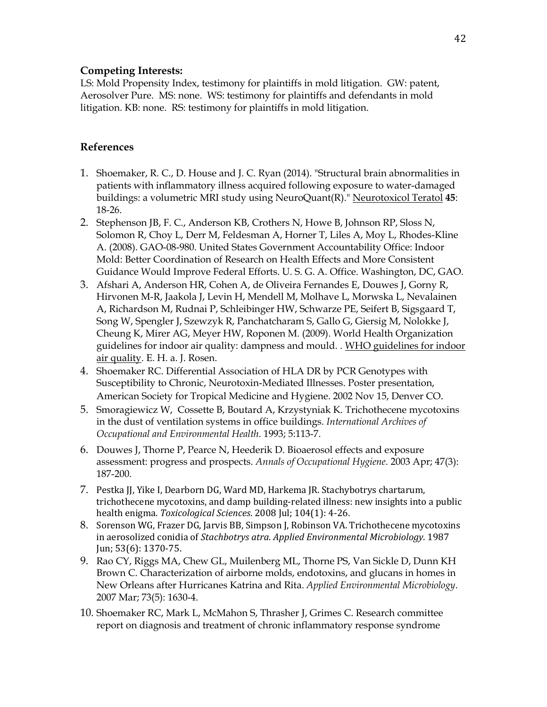#### **Competing Interests:**

LS: Mold Propensity Index, testimony for plaintiffs in mold litigation. GW: patent, Aerosolver Pure. MS: none. WS: testimony for plaintiffs and defendants in mold litigation. KB: none. RS: testimony for plaintiffs in mold litigation.

#### **References**

- 1. Shoemaker, R. C., D. House and J. C. Ryan (2014). "Structural brain abnormalities in patients with inflammatory illness acquired following exposure to water-damaged buildings: a volumetric MRI study using NeuroQuant(R)." Neurotoxicol Teratol **45**: 18-26.
- 2. Stephenson JB, F. C., Anderson KB, Crothers N, Howe B, Johnson RP, Sloss N, Solomon R, Choy L, Derr M, Feldesman A, Horner T, Liles A, Moy L, Rhodes-Kline A. (2008). GAO-08-980. United States Government Accountability Office: Indoor Mold: Better Coordination of Research on Health Effects and More Consistent Guidance Would Improve Federal Efforts. U. S. G. A. Office. Washington, DC, GAO.
- 3. Afshari A, Anderson HR, Cohen A, de Oliveira Fernandes E, Douwes J, Gorny R, Hirvonen M-R, Jaakola J, Levin H, Mendell M, Molhave L, Morwska L, Nevalainen A, Richardson M, Rudnai P, Schleibinger HW, Schwarze PE, Seifert B, Sigsgaard T, Song W, Spengler J, Szewzyk R, Panchatcharam S, Gallo G, Giersig M, Nolokke J, Cheung K, Mirer AG, Meyer HW, Roponen M. (2009). World Health Organization guidelines for indoor air quality: dampness and mould. . WHO guidelines for indoor air quality. E. H. a. J. Rosen.
- 4. Shoemaker RC. Differential Association of HLA DR by PCR Genotypes with Susceptibility to Chronic, Neurotoxin-Mediated Illnesses. Poster presentation, American Society for Tropical Medicine and Hygiene. 2002 Nov 15, Denver CO.
- 5. Smoragiewicz W, Cossette B, Boutard A, Krzystyniak K. Trichothecene mycotoxins in the dust of ventilation systems in office buildings. *International Archives of Occupational and Environmental Health*. 1993; 5:113-7.
- 6. Douwes J, Thorne P, Pearce N, Heederik D. Bioaerosol effects and exposure assessment: progress and prospects. *Annals of Occupational Hygiene*. 2003 Apr; 47(3): 187-200.
- 7. Pestka JJ, Yike I, Dearborn DG, Ward MD, Harkema JR. Stachybotrys chartarum, trichothecene mycotoxins, and damp building-related illness: new insights into a public health enigma. *Toxicological Sciences*. 2008 Jul; 104(1): 4-26.
- 8. Sorenson WG, Frazer DG, Jarvis BB, Simpson J, Robinson VA. Trichothecene mycotoxins in aerosolized conidia of *Stachbotrys atra*. *Applied Environmental Microbiology*. 1987 Jun; 53(6): 1370-75.
- 9. Rao CY, Riggs MA, Chew GL, Muilenberg ML, Thorne PS, Van Sickle D, Dunn KH Brown C. Characterization of airborne molds, endotoxins, and glucans in homes in New Orleans after Hurricanes Katrina and Rita. *Applied Environmental Microbiology*. 2007 Mar; 73(5): 1630-4.
- 10. Shoemaker RC, Mark L, McMahon S, Thrasher J, Grimes C. Research committee report on diagnosis and treatment of chronic inflammatory response syndrome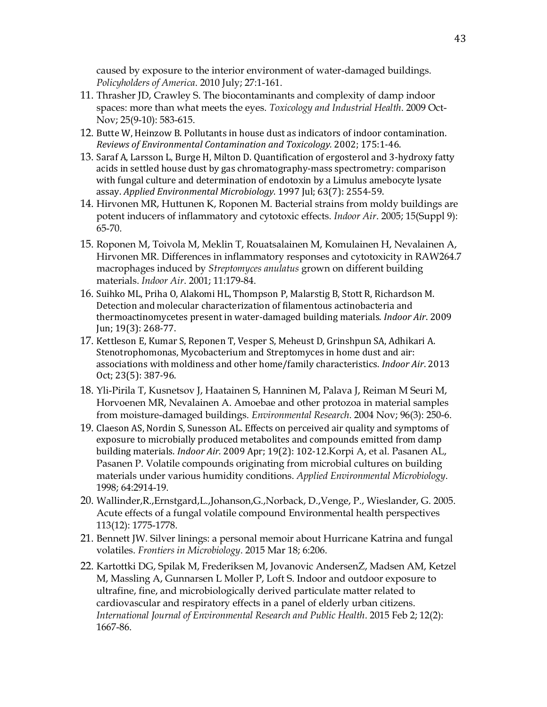caused by exposure to the interior environment of water-damaged buildings. *Policyholders of America*. 2010 July; 27:1-161.

- 11. Thrasher JD, Crawley S. The biocontaminants and complexity of damp indoor spaces: more than what meets the eyes. *Toxicology and Industrial Health*. 2009 Oct-Nov; 25(9-10): 583-615.
- 12. Butte W, Heinzow B. Pollutants in house dust as indicators of indoor contamination. *Reviews of Environmental Contamination and Toxicology.* 2002; 175:1-46.
- 13. Saraf A, Larsson L, Burge H, Milton D. Quantification of ergosterol and 3-hydroxy fatty acids in settled house dust by gas chromatography-mass spectrometry: comparison with fungal culture and determination of endotoxin by a Limulus amebocyte lysate assay. *Applied Environmental Microbiology*. 1997 Jul; 63(7): 2554-59.
- 14. Hirvonen MR, Huttunen K, Roponen M. Bacterial strains from moldy buildings are potent inducers of inflammatory and cytotoxic effects. *Indoor Air*. 2005; 15(Suppl 9): 65-70.
- 15. Roponen M, Toivola M, Meklin T, Rouatsalainen M, Komulainen H, Nevalainen A, Hirvonen MR. Differences in inflammatory responses and cytotoxicity in RAW264.7 macrophages induced by *Streptomyces anulatus* grown on different building materials. *Indoor Air*. 2001; 11:179-84.
- 16. Suihko ML, Priha O, Alakomi HL, Thompson P, Malarstig B, Stott R, Richardson M. Detection and molecular characterization of filamentous actinobacteria and thermoactinomycetes present in water-damaged building materials. *Indoor Air*. 2009 Jun; 19(3): 268-77.
- 17. Kettleson E, Kumar S, Reponen T, Vesper S, Meheust D, Grinshpun SA, Adhikari A. Stenotrophomonas, Mycobacterium and Streptomyces in home dust and air: associations with moldiness and other home/family characteristics. *Indoor Air*. 2013 Oct; 23(5): 387-96.
- 18. Yli-Pirila T, Kusnetsov J, Haatainen S, Hanninen M, Palava J, Reiman M Seuri M, Horvoenen MR, Nevalainen A. Amoebae and other protozoa in material samples from moisture-damaged buildings. *Environmental Research*. 2004 Nov; 96(3): 250-6.
- 19. Claeson AS, Nordin S, Sunesson AL. Effects on perceived air quality and symptoms of exposure to microbially produced metabolites and compounds emitted from damp building materials. *Indoor Air.* 2009 Apr; 19(2): 102-12.Korpi A, et al. Pasanen AL, Pasanen P. Volatile compounds originating from microbial cultures on building materials under various humidity conditions. *Applied Environmental Microbiology*. 1998; 64:2914-19.
- 20. Wallinder,R.,Ernstgard,L.,Johanson,G.,Norback, D.,Venge, P., Wieslander, G. 2005. Acute effects of a fungal volatile compound Environmental health perspectives 113(12): 1775-1778.
- 21. Bennett JW. Silver linings: a personal memoir about Hurricane Katrina and fungal volatiles. *Frontiers in Microbiology*. 2015 Mar 18; 6:206.
- 22. Kartottki DG, Spilak M, Frederiksen M, Jovanovic AndersenZ, Madsen AM, Ketzel M, Massling A, Gunnarsen L Moller P, Loft S. Indoor and outdoor exposure to ultrafine, fine, and microbiologically derived particulate matter related to cardiovascular and respiratory effects in a panel of elderly urban citizens. *International Journal of Environmental Research and Public Health*. 2015 Feb 2; 12(2): 1667-86.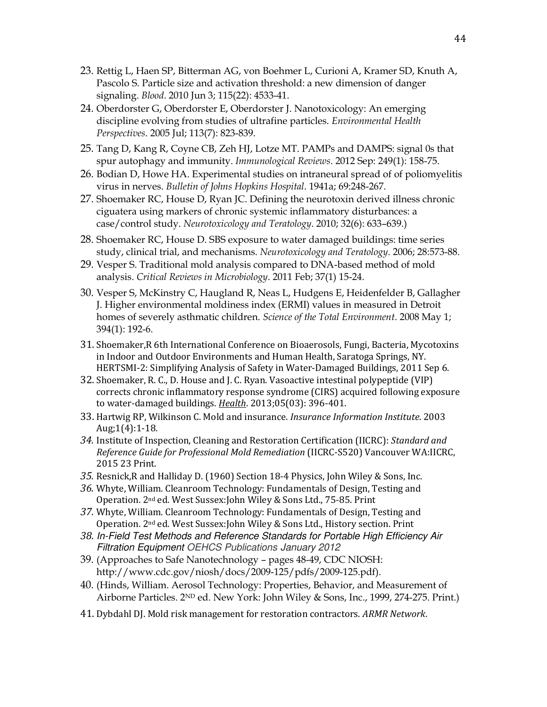- 23. Rettig L, Haen SP, Bitterman AG, von Boehmer L, Curioni A, Kramer SD, Knuth A, Pascolo S. Particle size and activation threshold: a new dimension of danger signaling. *Blood*. 2010 Jun 3; 115(22): 4533-41.
- 24. Oberdorster G, Oberdorster E, Oberdorster J. Nanotoxicology: An emerging discipline evolving from studies of ultrafine particles. *Environmental Health Perspectives*. 2005 Jul; 113(7): 823-839.
- 25. Tang D, Kang R, Coyne CB, Zeh HJ, Lotze MT. PAMPs and DAMPS: signal 0s that spur autophagy and immunity. *Immunological Reviews*. 2012 Sep: 249(1): 158-75.
- 26. Bodian D, Howe HA. Experimental studies on intraneural spread of of poliomyelitis virus in nerves. *Bulletin of Johns Hopkins Hospital*. 1941a; 69:248-267.
- 27. Shoemaker RC, House D, Ryan JC. Defining the neurotoxin derived illness chronic ciguatera using markers of chronic systemic inflammatory disturbances: a case/control study. *Neurotoxicology and Teratology*. 2010; 32(6): 633–639.)
- 28. Shoemaker RC, House D. SBS exposure to water damaged buildings: time series study, clinical trial, and mechanisms. *Neurotoxicology and Teratology*. 2006; 28:573-88.
- 29. Vesper S. Traditional mold analysis compared to DNA-based method of mold analysis. *Critical Reviews in Microbiology*. 2011 Feb; 37(1) 15-24.
- 30. Vesper S, McKinstry C, Haugland R, Neas L, Hudgens E, Heidenfelder B, Gallagher J. Higher environmental moldiness index (ERMI) values in measured in Detroit homes of severely asthmatic children. *Science of the Total Environment*. 2008 May 1; 394(1): 192-6.
- 31. Shoemaker,R 6th International Conference on Bioaerosols, Fungi, Bacteria, Mycotoxins in Indoor and Outdoor Environments and Human Health, Saratoga Springs, NY. HERTSMI-2: Simplifying Analysis of Safety in Water-Damaged Buildings, 2011 Sep 6.
- 32. Shoemaker, R. C., D. House and J. C. Ryan. Vasoactive intestinal polypeptide (VIP) corrects chronic inflammatory response syndrome (CIRS) acquired following exposure to water-damaged buildings. *Health*. 2013;05(03): 396-401.
- 33. Hartwig RP, Wilkinson C. Mold and insurance. *Insurance Information Institute*. 2003 Aug;1(4):1-18.
- *34.* Institute of Inspection, Cleaning and Restoration Certification (IICRC): *Standard and Reference Guide for Professional Mold Remediation* (IICRC-S520) Vancouver WA:IICRC, 2015 23 Print.
- *35.* Resnick,R and Halliday D. (1960) Section 18-4 Physics, John Wiley & Sons, Inc.
- *36.* Whyte, William. Cleanroom Technology: Fundamentals of Design, Testing and Operation. 2nd ed. West Sussex:John Wiley & Sons Ltd., 75-85. Print
- *37.* Whyte, William. Cleanroom Technology: Fundamentals of Design, Testing and Operation. 2nd ed. West Sussex:John Wiley & Sons Ltd., History section. Print
- *38.* [In-Field Test Methods and Reference Standards for Portable High Efficiency Air](https://www.linkedin.com/redir/redirect?url=http%3A%2F%2Fwww%2Eoehcs%2Ecom%2Fpublications%2Ehtm&urlhash=ooCm&trk=prof-publication-title-link)  [Filtration Equipment](https://www.linkedin.com/redir/redirect?url=http%3A%2F%2Fwww%2Eoehcs%2Ecom%2Fpublications%2Ehtm&urlhash=ooCm&trk=prof-publication-title-link) OEHCS Publications January 2012
- 39. (Approaches to Safe Nanotechnology pages 48-49, CDC NIOSH: http://www.cdc.gov/niosh/docs/2009-125/pdfs/2009-125.pdf).
- 40. (Hinds, William. Aerosol Technology: Properties, Behavior, and Measurement of Airborne Particles. 2ND ed. New York: John Wiley & Sons, Inc., 1999, 274-275. Print.)
- 41. Dybdahl DJ. Mold risk management for restoration contractors. *ARMR Network*.